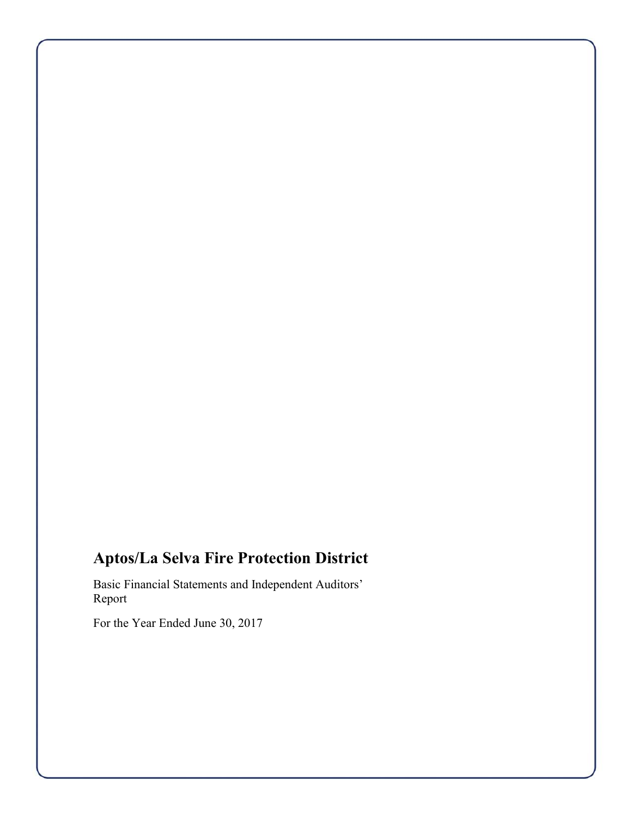# **Aptos/La Selva Fire Protection District**

Basic Financial Statements and Independent Auditors' Report

For the Year Ended June 30, 2017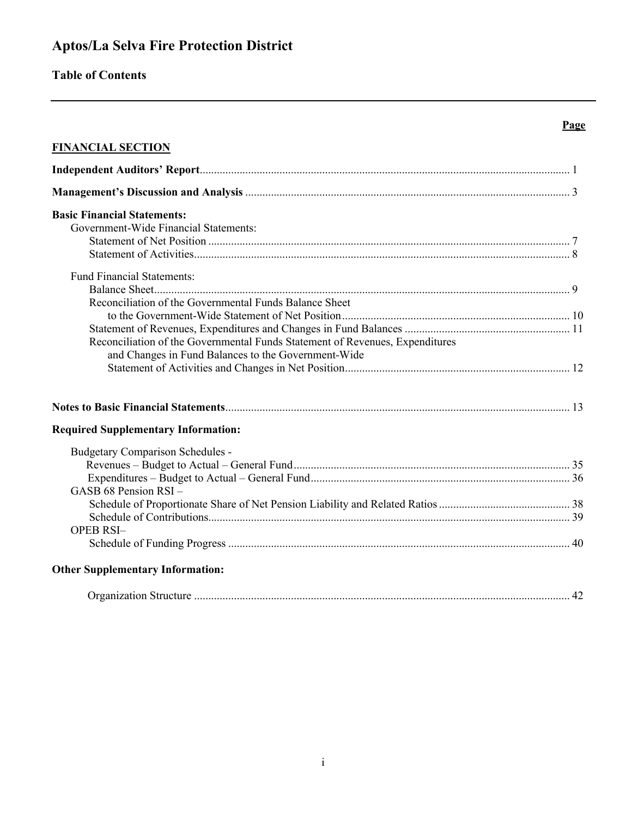# **Aptos/La Selva Fire Protection District**

# **Table of Contents**

### **FINANCIAL SECTION**

| <b>Basic Financial Statements:</b><br>Government-Wide Financial Statements:  |  |
|------------------------------------------------------------------------------|--|
|                                                                              |  |
|                                                                              |  |
|                                                                              |  |
|                                                                              |  |
|                                                                              |  |
| <b>Fund Financial Statements:</b>                                            |  |
|                                                                              |  |
| Reconciliation of the Governmental Funds Balance Sheet                       |  |
|                                                                              |  |
|                                                                              |  |
| Reconciliation of the Governmental Funds Statement of Revenues, Expenditures |  |
| and Changes in Fund Balances to the Government-Wide                          |  |
|                                                                              |  |
|                                                                              |  |
|                                                                              |  |
| <b>Required Supplementary Information:</b>                                   |  |
| <b>Budgetary Comparison Schedules -</b>                                      |  |
|                                                                              |  |
|                                                                              |  |
| GASB 68 Pension RSI-                                                         |  |
|                                                                              |  |
|                                                                              |  |
| <b>OPEB RSI-</b>                                                             |  |
|                                                                              |  |

**Page**

| геаніzацоп г | $\sim$ |
|--------------|--------|
|--------------|--------|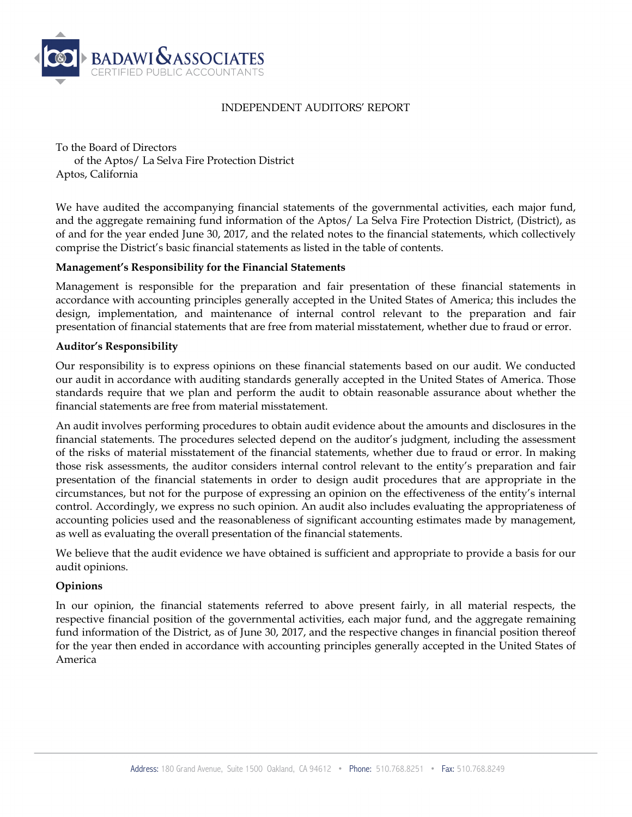

#### INDEPENDENT AUDITORS' REPORT

To the Board of Directors of the Aptos/ La Selva Fire Protection District Aptos, California

We have audited the accompanying financial statements of the governmental activities, each major fund, and the aggregate remaining fund information of the Aptos/ La Selva Fire Protection District, (District), as of and for the year ended June 30, 2017, and the related notes to the financial statements, which collectively comprise the District's basic financial statements as listed in the table of contents.

#### **Management's Responsibility for the Financial Statements**

Management is responsible for the preparation and fair presentation of these financial statements in accordance with accounting principles generally accepted in the United States of America; this includes the design, implementation, and maintenance of internal control relevant to the preparation and fair presentation of financial statements that are free from material misstatement, whether due to fraud or error.

#### **Auditor's Responsibility**

Our responsibility is to express opinions on these financial statements based on our audit. We conducted our audit in accordance with auditing standards generally accepted in the United States of America. Those standards require that we plan and perform the audit to obtain reasonable assurance about whether the financial statements are free from material misstatement.

An audit involves performing procedures to obtain audit evidence about the amounts and disclosures in the financial statements. The procedures selected depend on the auditor's judgment, including the assessment of the risks of material misstatement of the financial statements, whether due to fraud or error. In making those risk assessments, the auditor considers internal control relevant to the entity's preparation and fair presentation of the financial statements in order to design audit procedures that are appropriate in the circumstances, but not for the purpose of expressing an opinion on the effectiveness of the entity's internal control. Accordingly, we express no such opinion. An audit also includes evaluating the appropriateness of accounting policies used and the reasonableness of significant accounting estimates made by management, as well as evaluating the overall presentation of the financial statements.

We believe that the audit evidence we have obtained is sufficient and appropriate to provide a basis for our audit opinions.

#### **Opinions**

In our opinion, the financial statements referred to above present fairly, in all material respects, the respective financial position of the governmental activities, each major fund, and the aggregate remaining fund information of the District, as of June 30, 2017, and the respective changes in financial position thereof for the year then ended in accordance with accounting principles generally accepted in the United States of America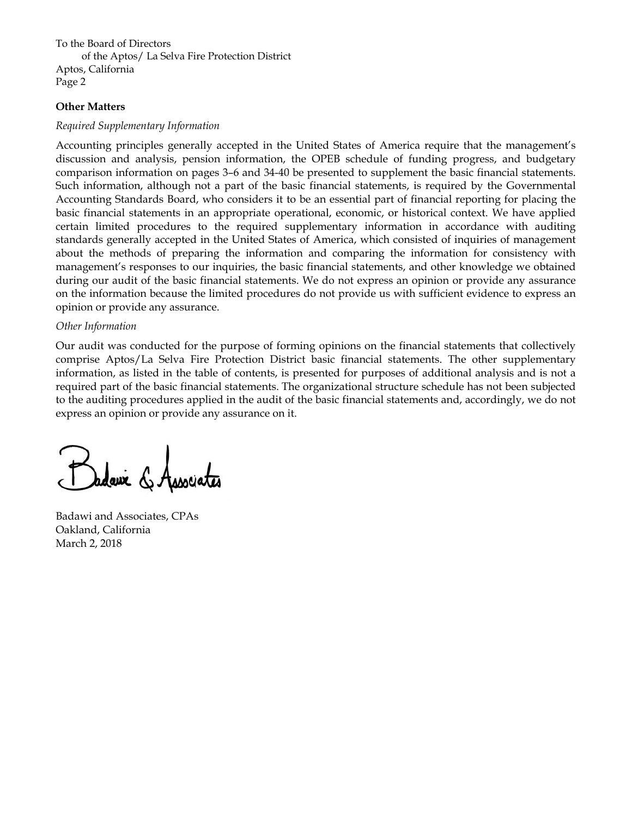To the Board of Directors of the Aptos/ La Selva Fire Protection District Aptos, California Page 2

#### **Other Matters**

#### *Required Supplementary Information*

Accounting principles generally accepted in the United States of America require that the management's discussion and analysis, pension information, the OPEB schedule of funding progress, and budgetary comparison information on pages 3–6 and 34-40 be presented to supplement the basic financial statements. Such information, although not a part of the basic financial statements, is required by the Governmental Accounting Standards Board, who considers it to be an essential part of financial reporting for placing the basic financial statements in an appropriate operational, economic, or historical context. We have applied certain limited procedures to the required supplementary information in accordance with auditing standards generally accepted in the United States of America, which consisted of inquiries of management about the methods of preparing the information and comparing the information for consistency with management's responses to our inquiries, the basic financial statements, and other knowledge we obtained during our audit of the basic financial statements. We do not express an opinion or provide any assurance on the information because the limited procedures do not provide us with sufficient evidence to express an opinion or provide any assurance.

#### *Other Information*

Our audit was conducted for the purpose of forming opinions on the financial statements that collectively comprise Aptos/La Selva Fire Protection District basic financial statements. The other supplementary information, as listed in the table of contents, is presented for purposes of additional analysis and is not a required part of the basic financial statements. The organizational structure schedule has not been subjected to the auditing procedures applied in the audit of the basic financial statements and, accordingly, we do not express an opinion or provide any assurance on it.

Badawi and Associates, CPAs Oakland, California March 2, 2018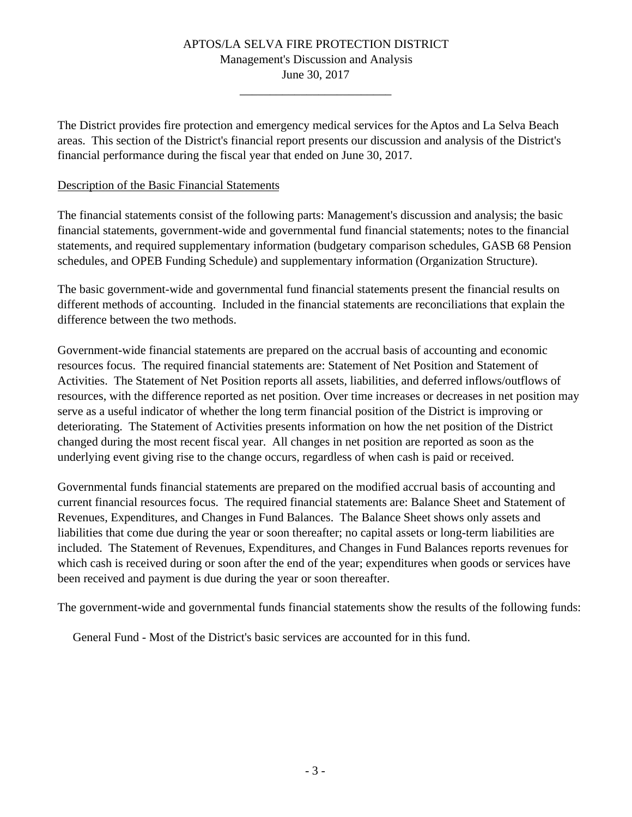# APTOS/LA SELVA FIRE PROTECTION DISTRICT Management's Discussion and Analysis

June 30, 2017 \_\_\_\_\_\_\_\_\_\_\_\_\_\_\_\_\_\_\_\_\_\_\_\_\_

The District provides fire protection and emergency medical services for the Aptos and La Selva Beach areas. This section of the District's financial report presents our discussion and analysis of the District's financial performance during the fiscal year that ended on June 30, 2017.

### Description of the Basic Financial Statements

The financial statements consist of the following parts: Management's discussion and analysis; the basic financial statements, government-wide and governmental fund financial statements; notes to the financial statements, and required supplementary information (budgetary comparison schedules, GASB 68 Pension schedules, and OPEB Funding Schedule) and supplementary information (Organization Structure).

The basic government-wide and governmental fund financial statements present the financial results on different methods of accounting. Included in the financial statements are reconciliations that explain the difference between the two methods.

Government-wide financial statements are prepared on the accrual basis of accounting and economic resources focus. The required financial statements are: Statement of Net Position and Statement of Activities. The Statement of Net Position reports all assets, liabilities, and deferred inflows/outflows of resources, with the difference reported as net position. Over time increases or decreases in net position may serve as a useful indicator of whether the long term financial position of the District is improving or deteriorating. The Statement of Activities presents information on how the net position of the District changed during the most recent fiscal year. All changes in net position are reported as soon as the underlying event giving rise to the change occurs, regardless of when cash is paid or received.

Governmental funds financial statements are prepared on the modified accrual basis of accounting and current financial resources focus. The required financial statements are: Balance Sheet and Statement of Revenues, Expenditures, and Changes in Fund Balances. The Balance Sheet shows only assets and liabilities that come due during the year or soon thereafter; no capital assets or long-term liabilities are included. The Statement of Revenues, Expenditures, and Changes in Fund Balances reports revenues for which cash is received during or soon after the end of the year; expenditures when goods or services have been received and payment is due during the year or soon thereafter.

The government-wide and governmental funds financial statements show the results of the following funds:

General Fund - Most of the District's basic services are accounted for in this fund.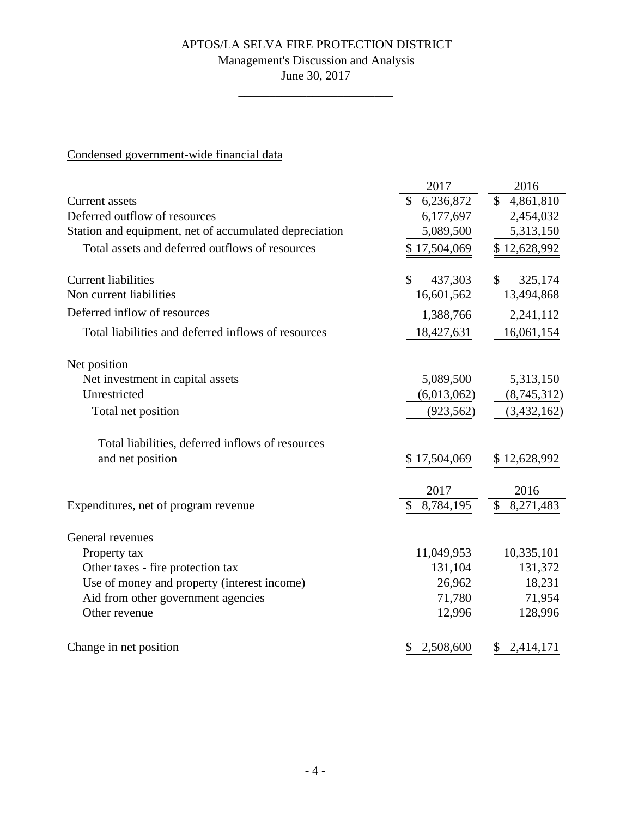# Management's Discussion and Analysis

June 30, 2017 \_\_\_\_\_\_\_\_\_\_\_\_\_\_\_\_\_\_\_\_\_\_\_\_\_

# Condensed government-wide financial data

| 6,236,872<br>\$<br><b>Current</b> assets<br>Deferred outflow of resources | $\mathbb{S}$<br>4,861,810 |
|---------------------------------------------------------------------------|---------------------------|
|                                                                           |                           |
| 6,177,697                                                                 | 2,454,032                 |
| Station and equipment, net of accumulated depreciation<br>5,089,500       | 5,313,150                 |
| Total assets and deferred outflows of resources<br>\$17,504,069           | \$12,628,992              |
| <b>Current liabilities</b><br>437,303<br>\$                               | \$<br>325,174             |
| Non current liabilities<br>16,601,562                                     | 13,494,868                |
| Deferred inflow of resources<br>1,388,766                                 | 2,241,112                 |
| 18,427,631<br>Total liabilities and deferred inflows of resources         | 16,061,154                |
| Net position                                                              |                           |
| Net investment in capital assets<br>5,089,500                             | 5,313,150                 |
| Unrestricted<br>(6,013,062)                                               | (8,745,312)               |
| (923, 562)<br>Total net position                                          | (3,432,162)               |
| Total liabilities, deferred inflows of resources                          |                           |
| and net position<br>\$17,504,069                                          | \$12,628,992              |
| 2017                                                                      | 2016                      |
| 8,784,195<br>\$<br>Expenditures, net of program revenue                   | \$<br>8,271,483           |
| General revenues                                                          |                           |
| 11,049,953<br>Property tax                                                | 10,335,101                |
| Other taxes - fire protection tax<br>131,104                              | 131,372                   |
| 26,962<br>Use of money and property (interest income)                     | 18,231                    |
| Aid from other government agencies<br>71,780                              | 71,954                    |
| Other revenue<br>12,996                                                   | 128,996                   |
| Change in net position<br>2,508,600                                       | \$<br>2,414,171           |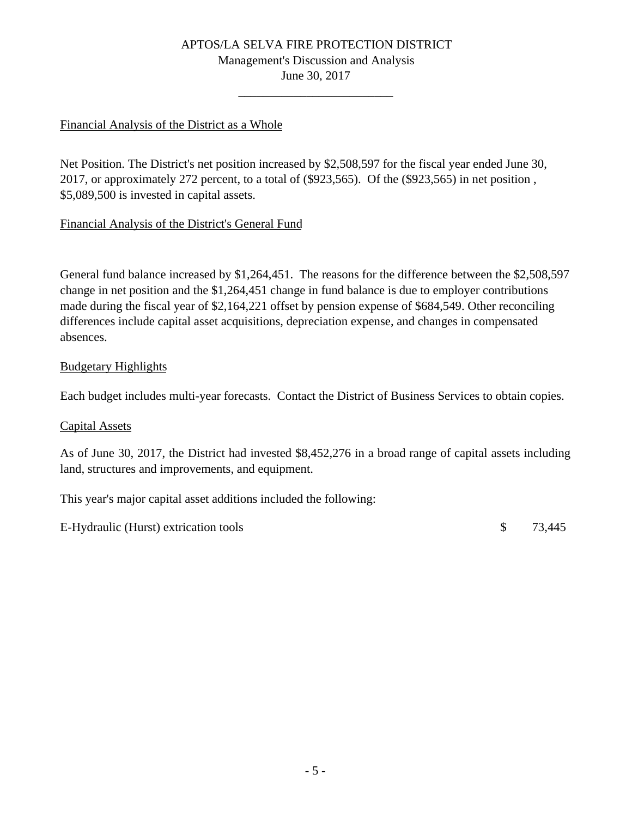# APTOS/LA SELVA FIRE PROTECTION DISTRICT Management's Discussion and Analysis

June 30, 2017 \_\_\_\_\_\_\_\_\_\_\_\_\_\_\_\_\_\_\_\_\_\_\_\_\_

### Financial Analysis of the District as a Whole

Net Position. The District's net position increased by \$2,508,597 for the fiscal year ended June 30, 2017, or approximately 272 percent, to a total of (\$923,565). Of the (\$923,565) in net position , \$5,089,500 is invested in capital assets.

### Financial Analysis of the District's General Fund

General fund balance increased by \$1,264,451. The reasons for the difference between the \$2,508,597 change in net position and the \$1,264,451 change in fund balance is due to employer contributions made during the fiscal year of \$2,164,221 offset by pension expense of \$684,549. Other reconciling differences include capital asset acquisitions, depreciation expense, and changes in compensated absences.

### Budgetary Highlights

Each budget includes multi-year forecasts. Contact the District of Business Services to obtain copies.

### Capital Assets

As of June 30, 2017, the District had invested \$8,452,276 in a broad range of capital assets including land, structures and improvements, and equipment.

This year's major capital asset additions included the following:

E-Hydraulic (Hurst) extrication tools \$ 73,445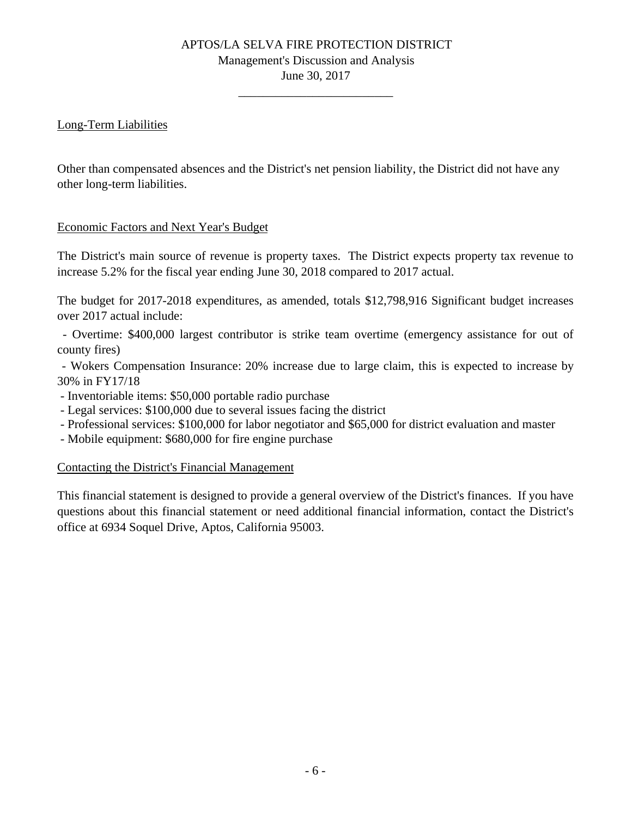# APTOS/LA SELVA FIRE PROTECTION DISTRICT Management's Discussion and Analysis

June 30, 2017 \_\_\_\_\_\_\_\_\_\_\_\_\_\_\_\_\_\_\_\_\_\_\_\_\_

# Long-Term Liabilities

Other than compensated absences and the District's net pension liability, the District did not have any other long-term liabilities.

# Economic Factors and Next Year's Budget

The District's main source of revenue is property taxes. The District expects property tax revenue to increase 5.2% for the fiscal year ending June 30, 2018 compared to 2017 actual.

The budget for 2017-2018 expenditures, as amended, totals \$12,798,916 Significant budget increases over 2017 actual include:

- Overtime: \$400,000 largest contributor is strike team overtime (emergency assistance for out of county fires)

- Wokers Compensation Insurance: 20% increase due to large claim, this is expected to increase by 30% in FY17/18

- Inventoriable items: \$50,000 portable radio purchase

- Legal services: \$100,000 due to several issues facing the district

- Professional services: \$100,000 for labor negotiator and \$65,000 for district evaluation and master

- Mobile equipment: \$680,000 for fire engine purchase

### Contacting the District's Financial Management

This financial statement is designed to provide a general overview of the District's finances. If you have questions about this financial statement or need additional financial information, contact the District's office at 6934 Soquel Drive, Aptos, California 95003.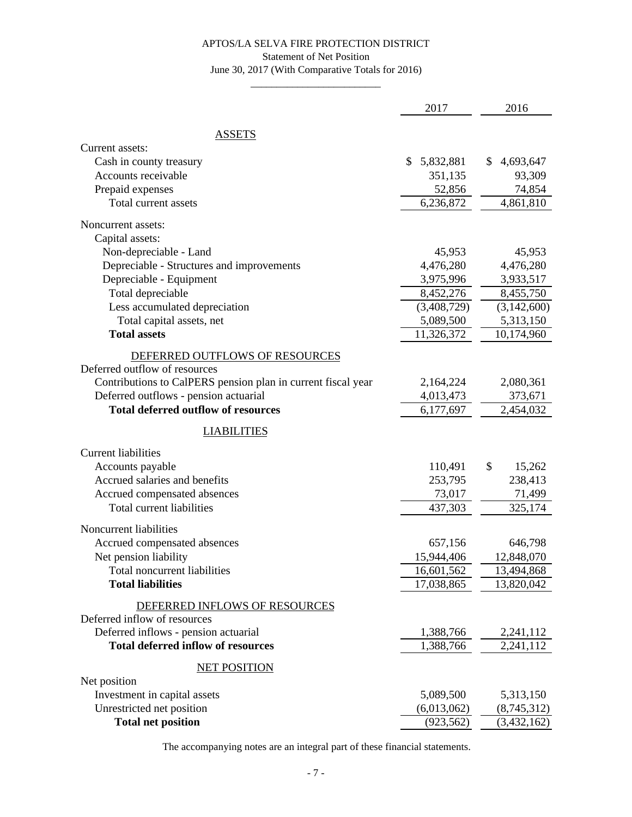#### Statement of Net Position

June 30, 2017 (With Comparative Totals for 2016) \_\_\_\_\_\_\_\_\_\_\_\_\_\_\_\_\_\_\_\_\_\_\_\_\_

|                                                              | 2017            | 2016                  |
|--------------------------------------------------------------|-----------------|-----------------------|
| <b>ASSETS</b>                                                |                 |                       |
| Current assets:                                              |                 |                       |
| Cash in county treasury                                      | \$<br>5,832,881 | \$<br>4,693,647       |
| Accounts receivable                                          | 351,135         | 93,309                |
| Prepaid expenses                                             | 52,856          | 74,854                |
| Total current assets                                         | 6,236,872       | 4,861,810             |
| Noncurrent assets:                                           |                 |                       |
| Capital assets:                                              |                 |                       |
| Non-depreciable - Land                                       | 45,953          | 45,953                |
| Depreciable - Structures and improvements                    | 4,476,280       | 4,476,280             |
| Depreciable - Equipment                                      | 3,975,996       | 3,933,517             |
| Total depreciable                                            | 8,452,276       | 8,455,750             |
| Less accumulated depreciation                                | (3,408,729)     | (3,142,600)           |
| Total capital assets, net                                    | 5,089,500       | 5,313,150             |
| <b>Total assets</b>                                          | 11,326,372      | 10,174,960            |
| DEFERRED OUTFLOWS OF RESOURCES                               |                 |                       |
| Deferred outflow of resources                                |                 |                       |
| Contributions to CalPERS pension plan in current fiscal year | 2,164,224       | 2,080,361             |
| Deferred outflows - pension actuarial                        | 4,013,473       | 373,671               |
| <b>Total deferred outflow of resources</b>                   | 6,177,697       | 2,454,032             |
| <b>LIABILITIES</b>                                           |                 |                       |
| <b>Current liabilities</b>                                   |                 |                       |
| Accounts payable                                             | 110,491         | \$<br>15,262          |
| Accrued salaries and benefits                                | 253,795         | 238,413               |
| Accrued compensated absences                                 | 73,017          | 71,499                |
| Total current liabilities                                    | 437,303         | 325,174               |
|                                                              |                 |                       |
| Noncurrent liabilities                                       | 657,156         |                       |
| Accrued compensated absences                                 | 15,944,406      | 646,798<br>12,848,070 |
| Net pension liability<br>Total noncurrent liabilities        | 16,601,562      | 13,494,868            |
| <b>Total liabilities</b>                                     | 17,038,865      | 13,820,042            |
|                                                              |                 |                       |
| DEFERRED INFLOWS OF RESOURCES                                |                 |                       |
| Deferred inflow of resources                                 |                 |                       |
| Deferred inflows - pension actuarial                         | 1,388,766       | 2,241,112             |
| <b>Total deferred inflow of resources</b>                    | 1,388,766       | 2,241,112             |
| <b>NET POSITION</b>                                          |                 |                       |
| Net position                                                 |                 |                       |
| Investment in capital assets                                 | 5,089,500       | 5,313,150             |
| Unrestricted net position                                    | (6,013,062)     | (8,745,312)           |
| <b>Total net position</b>                                    | (923, 562)      | (3, 432, 162)         |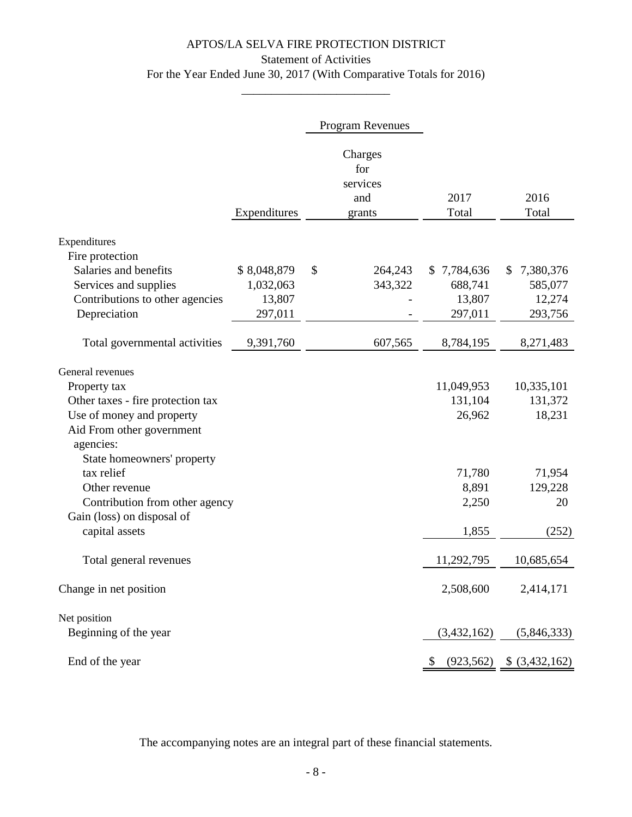# APTOS/LA SELVA FIRE PROTECTION DISTRICT Statement of Activities For the Year Ended June 30, 2017 (With Comparative Totals for 2016)

\_\_\_\_\_\_\_\_\_\_\_\_\_\_\_\_\_\_\_\_\_\_\_\_\_

|                                                   |              | Program Revenues                            |                       |                       |
|---------------------------------------------------|--------------|---------------------------------------------|-----------------------|-----------------------|
|                                                   | Expenditures | Charges<br>for<br>services<br>and<br>grants | 2017<br>Total         | 2016<br>Total         |
| Expenditures                                      |              |                                             |                       |                       |
| Fire protection                                   |              |                                             |                       |                       |
| Salaries and benefits                             | \$8,048,879  | \$<br>264,243                               | \$7,784,636           | 7,380,376<br>\$       |
| Services and supplies                             | 1,032,063    | 343,322                                     | 688,741               | 585,077               |
| Contributions to other agencies                   | 13,807       |                                             | 13,807                | 12,274                |
| Depreciation                                      | 297,011      |                                             | 297,011               | 293,756               |
| Total governmental activities                     | 9,391,760    | 607,565                                     | 8,784,195             | 8,271,483             |
|                                                   |              |                                             |                       |                       |
| General revenues                                  |              |                                             |                       |                       |
| Property tax<br>Other taxes - fire protection tax |              |                                             | 11,049,953<br>131,104 | 10,335,101<br>131,372 |
| Use of money and property                         |              |                                             | 26,962                | 18,231                |
| Aid From other government                         |              |                                             |                       |                       |
| agencies:                                         |              |                                             |                       |                       |
| State homeowners' property<br>tax relief          |              |                                             | 71,780                |                       |
| Other revenue                                     |              |                                             | 8,891                 | 71,954<br>129,228     |
| Contribution from other agency                    |              |                                             | 2,250                 | 20                    |
| Gain (loss) on disposal of                        |              |                                             |                       |                       |
| capital assets                                    |              |                                             | 1,855                 | (252)                 |
| Total general revenues                            |              |                                             | 11,292,795            | 10,685,654            |
| Change in net position                            |              |                                             | 2,508,600             | 2,414,171             |
| Net position                                      |              |                                             |                       |                       |
| Beginning of the year                             |              |                                             | (3,432,162)           | (5,846,333)           |
| End of the year                                   |              |                                             | (923, 562)            | $$$ (3,432,162)       |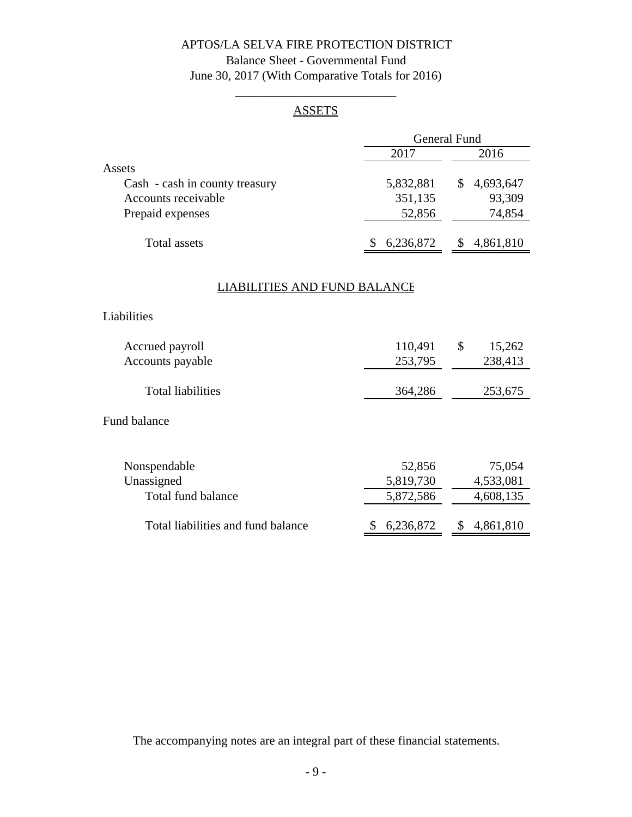# Balance Sheet - Governmental Fund June 30, 2017 (With Comparative Totals for 2016)

# \_\_\_\_\_\_\_\_\_\_\_\_\_\_\_\_\_\_\_\_\_\_\_\_\_\_ **ASSETS**

|                                    | <b>General Fund</b> |                 |  |
|------------------------------------|---------------------|-----------------|--|
|                                    | 2017                | 2016            |  |
| Assets                             |                     |                 |  |
| Cash - cash in county treasury     | 5,832,881           | \$<br>4,693,647 |  |
| Accounts receivable                | 351,135             | 93,309          |  |
| Prepaid expenses                   | 52,856              | 74,854          |  |
| <b>Total assets</b>                | 6,236,872<br>\$     | 4,861,810<br>\$ |  |
| LIABILITIES AND FUND BALANCE       |                     |                 |  |
| Liabilities                        |                     |                 |  |
| Accrued payroll                    | 110,491             | \$<br>15,262    |  |
| Accounts payable                   | 253,795             | 238,413         |  |
| <b>Total liabilities</b>           | 364,286             | 253,675         |  |
| <b>Fund balance</b>                |                     |                 |  |
| Nonspendable                       | 52,856              | 75,054          |  |
| Unassigned                         | 5,819,730           | 4,533,081       |  |
| Total fund balance                 | 5,872,586           | 4,608,135       |  |
| Total liabilities and fund balance | 6,236,872<br>\$     | 4,861,810       |  |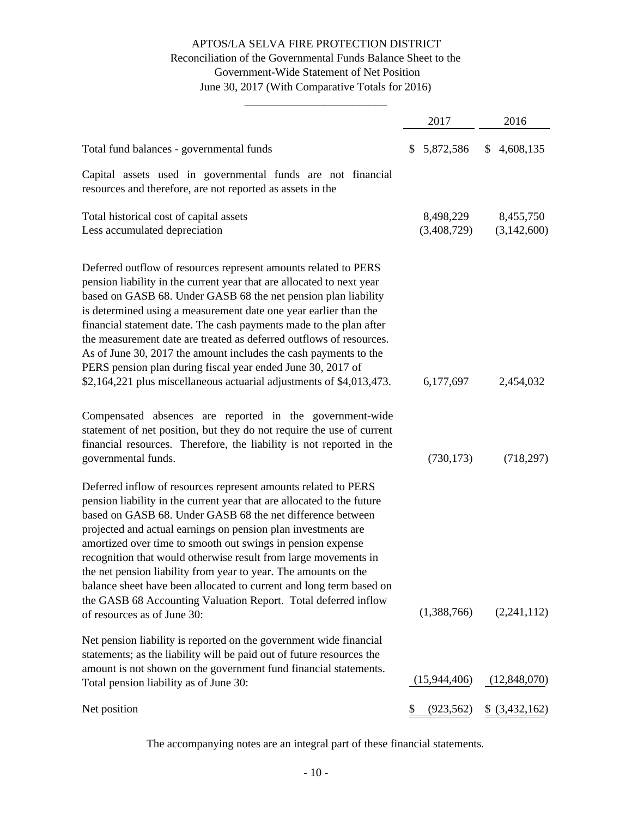### Reconciliation of the Governmental Funds Balance Sheet to the Government-Wide Statement of Net Position June 30, 2017 (With Comparative Totals for 2016)

\_\_\_\_\_\_\_\_\_\_\_\_\_\_\_\_\_\_\_\_\_\_\_\_\_

|                                                                                                                                                                                                                                                                                                                                                                                                                                                                                                                                                                                                                                                      | 2017                     | 2016                     |
|------------------------------------------------------------------------------------------------------------------------------------------------------------------------------------------------------------------------------------------------------------------------------------------------------------------------------------------------------------------------------------------------------------------------------------------------------------------------------------------------------------------------------------------------------------------------------------------------------------------------------------------------------|--------------------------|--------------------------|
| Total fund balances - governmental funds                                                                                                                                                                                                                                                                                                                                                                                                                                                                                                                                                                                                             | 5,872,586<br>S           | \$4,608,135              |
| Capital assets used in governmental funds are not financial<br>resources and therefore, are not reported as assets in the                                                                                                                                                                                                                                                                                                                                                                                                                                                                                                                            |                          |                          |
| Total historical cost of capital assets<br>Less accumulated depreciation                                                                                                                                                                                                                                                                                                                                                                                                                                                                                                                                                                             | 8,498,229<br>(3,408,729) | 8,455,750<br>(3,142,600) |
| Deferred outflow of resources represent amounts related to PERS<br>pension liability in the current year that are allocated to next year<br>based on GASB 68. Under GASB 68 the net pension plan liability<br>is determined using a measurement date one year earlier than the<br>financial statement date. The cash payments made to the plan after<br>the measurement date are treated as deferred outflows of resources.<br>As of June 30, 2017 the amount includes the cash payments to the<br>PERS pension plan during fiscal year ended June 30, 2017 of<br>\$2,164,221 plus miscellaneous actuarial adjustments of \$4,013,473.               | 6,177,697                | 2,454,032                |
| Compensated absences are reported in the government-wide<br>statement of net position, but they do not require the use of current<br>financial resources. Therefore, the liability is not reported in the<br>governmental funds.                                                                                                                                                                                                                                                                                                                                                                                                                     | (730, 173)               | (718, 297)               |
| Deferred inflow of resources represent amounts related to PERS<br>pension liability in the current year that are allocated to the future<br>based on GASB 68. Under GASB 68 the net difference between<br>projected and actual earnings on pension plan investments are<br>amortized over time to smooth out swings in pension expense<br>recognition that would otherwise result from large movements in<br>the net pension liability from year to year. The amounts on the<br>balance sheet have been allocated to current and long term based on<br>the GASB 68 Accounting Valuation Report. Total deferred inflow<br>of resources as of June 30: | (1,388,766)              | (2,241,112)              |
| Net pension liability is reported on the government wide financial<br>statements; as the liability will be paid out of future resources the<br>amount is not shown on the government fund financial statements.                                                                                                                                                                                                                                                                                                                                                                                                                                      |                          |                          |
| Total pension liability as of June 30:                                                                                                                                                                                                                                                                                                                                                                                                                                                                                                                                                                                                               | (15,944,406)             | (12,848,070)             |
| Net position                                                                                                                                                                                                                                                                                                                                                                                                                                                                                                                                                                                                                                         | (923, 562)<br>\$         | $$$ (3,432,162)          |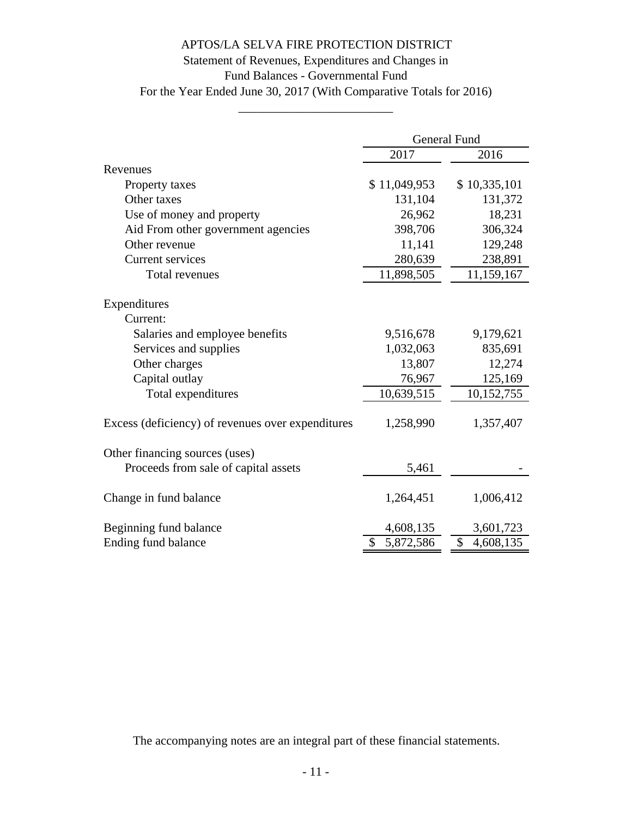# Statement of Revenues, Expenditures and Changes in

Fund Balances - Governmental Fund

For the Year Ended June 30, 2017 (With Comparative Totals for 2016) \_\_\_\_\_\_\_\_\_\_\_\_\_\_\_\_\_\_\_\_\_\_\_\_\_

|                                                   | <b>General Fund</b> |                 |  |
|---------------------------------------------------|---------------------|-----------------|--|
|                                                   | 2017<br>2016        |                 |  |
| Revenues                                          |                     |                 |  |
| Property taxes                                    | \$11,049,953        | \$10,335,101    |  |
| Other taxes                                       | 131,104             | 131,372         |  |
| Use of money and property                         | 26,962              | 18,231          |  |
| Aid From other government agencies                | 398,706             | 306,324         |  |
| Other revenue                                     | 11,141              | 129,248         |  |
| <b>Current services</b>                           | 280,639             | 238,891         |  |
| Total revenues                                    | 11,898,505          | 11,159,167      |  |
|                                                   |                     |                 |  |
| Expenditures                                      |                     |                 |  |
| Current:                                          |                     |                 |  |
| Salaries and employee benefits                    | 9,516,678           | 9,179,621       |  |
| Services and supplies                             | 1,032,063           | 835,691         |  |
| Other charges                                     | 13,807              | 12,274          |  |
| Capital outlay                                    | 76,967              | 125,169         |  |
| Total expenditures                                | 10,639,515          | 10,152,755      |  |
|                                                   |                     |                 |  |
| Excess (deficiency) of revenues over expenditures | 1,258,990           | 1,357,407       |  |
|                                                   |                     |                 |  |
| Other financing sources (uses)                    |                     |                 |  |
| Proceeds from sale of capital assets              | 5,461               |                 |  |
|                                                   |                     |                 |  |
| Change in fund balance                            | 1,264,451           | 1,006,412       |  |
|                                                   |                     |                 |  |
| Beginning fund balance                            | 4,608,135           | 3,601,723       |  |
| Ending fund balance                               | 5,872,586           | \$<br>4,608,135 |  |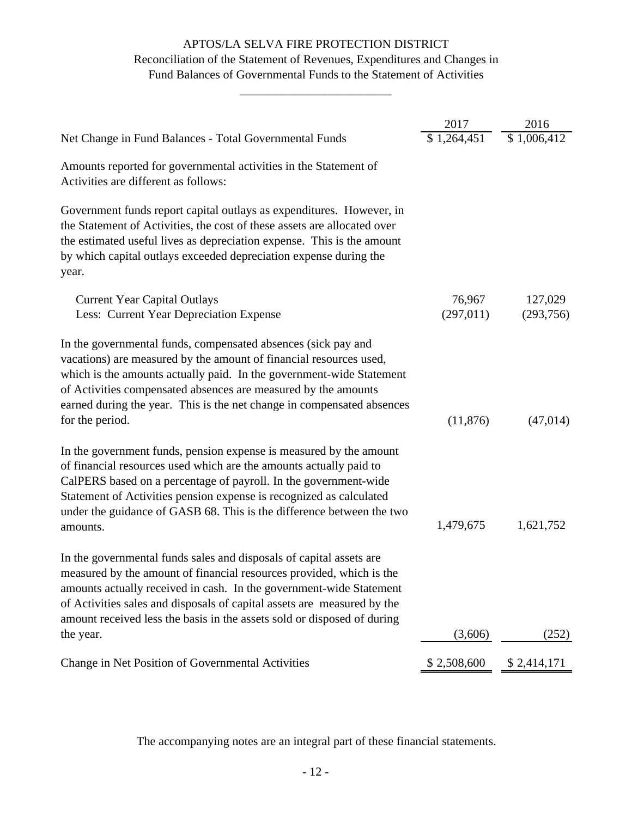### Reconciliation of the Statement of Revenues, Expenditures and Changes in Fund Balances of Governmental Funds to the Statement of Activities

\_\_\_\_\_\_\_\_\_\_\_\_\_\_\_\_\_\_\_\_\_\_\_\_\_

|                                                                                                                                                                                                                                                                                                                                                                                       | 2017                 | 2016                 |
|---------------------------------------------------------------------------------------------------------------------------------------------------------------------------------------------------------------------------------------------------------------------------------------------------------------------------------------------------------------------------------------|----------------------|----------------------|
| Net Change in Fund Balances - Total Governmental Funds                                                                                                                                                                                                                                                                                                                                | \$1,264,451          | \$1,006,412          |
| Amounts reported for governmental activities in the Statement of<br>Activities are different as follows:                                                                                                                                                                                                                                                                              |                      |                      |
| Government funds report capital outlays as expenditures. However, in<br>the Statement of Activities, the cost of these assets are allocated over<br>the estimated useful lives as depreciation expense. This is the amount<br>by which capital outlays exceeded depreciation expense during the<br>year.                                                                              |                      |                      |
| <b>Current Year Capital Outlays</b><br>Less: Current Year Depreciation Expense                                                                                                                                                                                                                                                                                                        | 76,967<br>(297, 011) | 127,029<br>(293,756) |
| In the governmental funds, compensated absences (sick pay and<br>vacations) are measured by the amount of financial resources used,<br>which is the amounts actually paid. In the government-wide Statement<br>of Activities compensated absences are measured by the amounts<br>earned during the year. This is the net change in compensated absences<br>for the period.            | (11, 876)            | (47, 014)            |
| In the government funds, pension expense is measured by the amount<br>of financial resources used which are the amounts actually paid to<br>CalPERS based on a percentage of payroll. In the government-wide<br>Statement of Activities pension expense is recognized as calculated<br>under the guidance of GASB 68. This is the difference between the two<br>amounts.              | 1,479,675            | 1,621,752            |
| In the governmental funds sales and disposals of capital assets are<br>measured by the amount of financial resources provided, which is the<br>amounts actually received in cash. In the government-wide Statement<br>of Activities sales and disposals of capital assets are measured by the<br>amount received less the basis in the assets sold or disposed of during<br>the year. | (3,606)              | (252)                |
|                                                                                                                                                                                                                                                                                                                                                                                       |                      |                      |
| Change in Net Position of Governmental Activities                                                                                                                                                                                                                                                                                                                                     | \$2,508,600          | \$2,414,171          |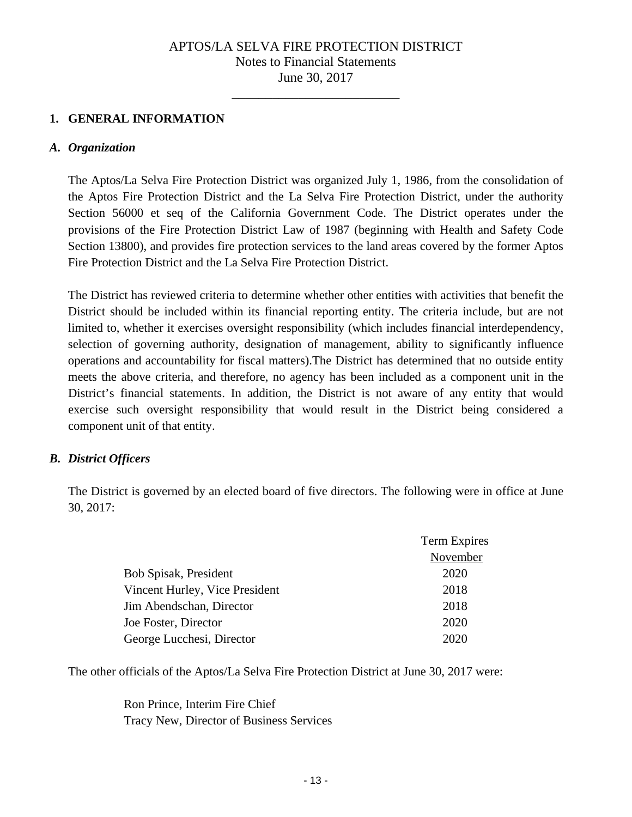\_\_\_\_\_\_\_\_\_\_\_\_\_\_\_\_\_\_\_\_\_\_\_\_\_

### **1. GENERAL INFORMATION**

#### *A. Organization*

The Aptos/La Selva Fire Protection District was organized July 1, 1986, from the consolidation of the Aptos Fire Protection District and the La Selva Fire Protection District, under the authority Section 56000 et seq of the California Government Code. The District operates under the provisions of the Fire Protection District Law of 1987 (beginning with Health and Safety Code Section 13800), and provides fire protection services to the land areas covered by the former Aptos Fire Protection District and the La Selva Fire Protection District.

The District has reviewed criteria to determine whether other entities with activities that benefit the District should be included within its financial reporting entity. The criteria include, but are not limited to, whether it exercises oversight responsibility (which includes financial interdependency, selection of governing authority, designation of management, ability to significantly influence operations and accountability for fiscal matters).The District has determined that no outside entity meets the above criteria, and therefore, no agency has been included as a component unit in the District's financial statements. In addition, the District is not aware of any entity that would exercise such oversight responsibility that would result in the District being considered a component unit of that entity.

### *B. District Officers*

The District is governed by an elected board of five directors. The following were in office at June 30, 2017:

|                                | Term Expires |
|--------------------------------|--------------|
|                                | November     |
| Bob Spisak, President          | 2020         |
| Vincent Hurley, Vice President | 2018         |
| Jim Abendschan, Director       | 2018         |
| Joe Foster, Director           | 2020         |
| George Lucchesi, Director      | 2020         |

The other officials of the Aptos/La Selva Fire Protection District at June 30, 2017 were:

 Ron Prince, Interim Fire Chief Tracy New, Director of Business Services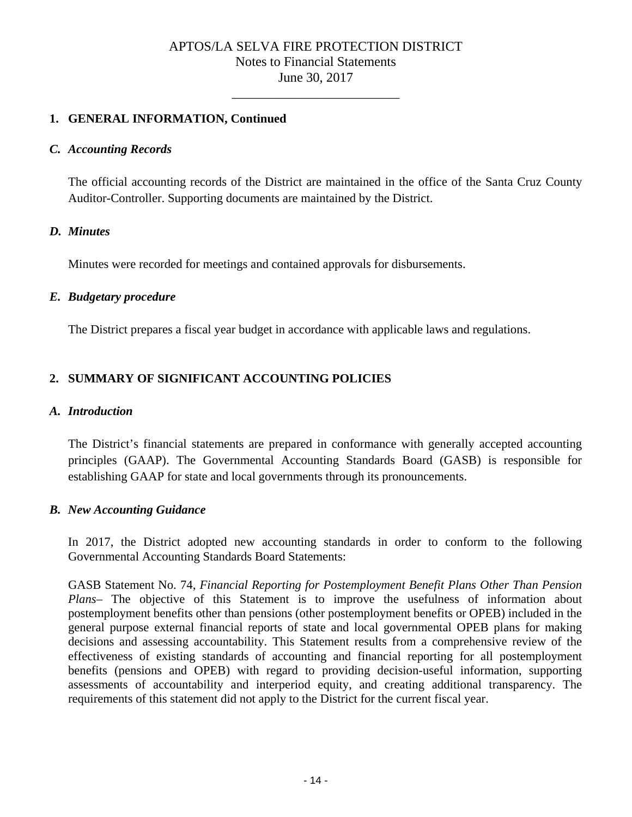\_\_\_\_\_\_\_\_\_\_\_\_\_\_\_\_\_\_\_\_\_\_\_\_\_

### **1. GENERAL INFORMATION, Continued**

### *C. Accounting Records*

The official accounting records of the District are maintained in the office of the Santa Cruz County Auditor-Controller. Supporting documents are maintained by the District.

### *D. Minutes*

Minutes were recorded for meetings and contained approvals for disbursements.

### *E. Budgetary procedure*

The District prepares a fiscal year budget in accordance with applicable laws and regulations.

### **2. SUMMARY OF SIGNIFICANT ACCOUNTING POLICIES**

### *A. Introduction*

The District's financial statements are prepared in conformance with generally accepted accounting principles (GAAP). The Governmental Accounting Standards Board (GASB) is responsible for establishing GAAP for state and local governments through its pronouncements.

### *B. New Accounting Guidance*

In 2017, the District adopted new accounting standards in order to conform to the following Governmental Accounting Standards Board Statements:

GASB Statement No. 74, *Financial Reporting for Postemployment Benefit Plans Other Than Pension Plans–* The objective of this Statement is to improve the usefulness of information about postemployment benefits other than pensions (other postemployment benefits or OPEB) included in the general purpose external financial reports of state and local governmental OPEB plans for making decisions and assessing accountability. This Statement results from a comprehensive review of the effectiveness of existing standards of accounting and financial reporting for all postemployment benefits (pensions and OPEB) with regard to providing decision-useful information, supporting assessments of accountability and interperiod equity, and creating additional transparency. The requirements of this statement did not apply to the District for the current fiscal year.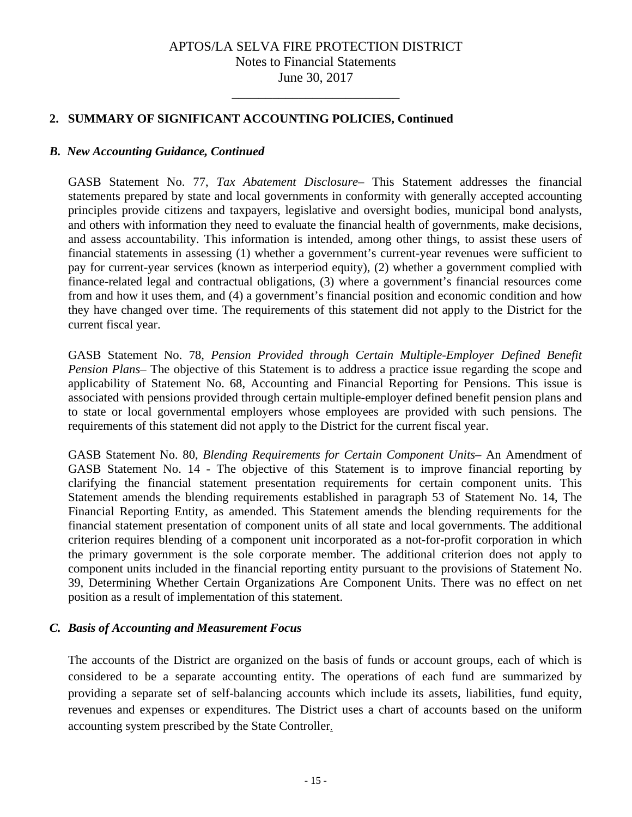\_\_\_\_\_\_\_\_\_\_\_\_\_\_\_\_\_\_\_\_\_\_\_\_\_

### **2. SUMMARY OF SIGNIFICANT ACCOUNTING POLICIES, Continued**

### *B. New Accounting Guidance, Continued*

GASB Statement No. 77, *Tax Abatement Disclosure–* This Statement addresses the financial statements prepared by state and local governments in conformity with generally accepted accounting principles provide citizens and taxpayers, legislative and oversight bodies, municipal bond analysts, and others with information they need to evaluate the financial health of governments, make decisions, and assess accountability. This information is intended, among other things, to assist these users of financial statements in assessing (1) whether a government's current-year revenues were sufficient to pay for current-year services (known as interperiod equity), (2) whether a government complied with finance-related legal and contractual obligations, (3) where a government's financial resources come from and how it uses them, and (4) a government's financial position and economic condition and how they have changed over time. The requirements of this statement did not apply to the District for the current fiscal year.

GASB Statement No. 78, *Pension Provided through Certain Multiple-Employer Defined Benefit Pension Plans–* The objective of this Statement is to address a practice issue regarding the scope and applicability of Statement No. 68, Accounting and Financial Reporting for Pensions. This issue is associated with pensions provided through certain multiple-employer defined benefit pension plans and to state or local governmental employers whose employees are provided with such pensions. The requirements of this statement did not apply to the District for the current fiscal year.

GASB Statement No. 80, *Blending Requirements for Certain Component Units–* An Amendment of GASB Statement No. 14 - The objective of this Statement is to improve financial reporting by clarifying the financial statement presentation requirements for certain component units. This Statement amends the blending requirements established in paragraph 53 of Statement No. 14, The Financial Reporting Entity, as amended. This Statement amends the blending requirements for the financial statement presentation of component units of all state and local governments. The additional criterion requires blending of a component unit incorporated as a not-for-profit corporation in which the primary government is the sole corporate member. The additional criterion does not apply to component units included in the financial reporting entity pursuant to the provisions of Statement No. 39, Determining Whether Certain Organizations Are Component Units. There was no effect on net position as a result of implementation of this statement.

### *C. Basis of Accounting and Measurement Focus*

The accounts of the District are organized on the basis of funds or account groups, each of which is considered to be a separate accounting entity. The operations of each fund are summarized by providing a separate set of self-balancing accounts which include its assets, liabilities, fund equity, revenues and expenses or expenditures. The District uses a chart of accounts based on the uniform accounting system prescribed by the State Controller.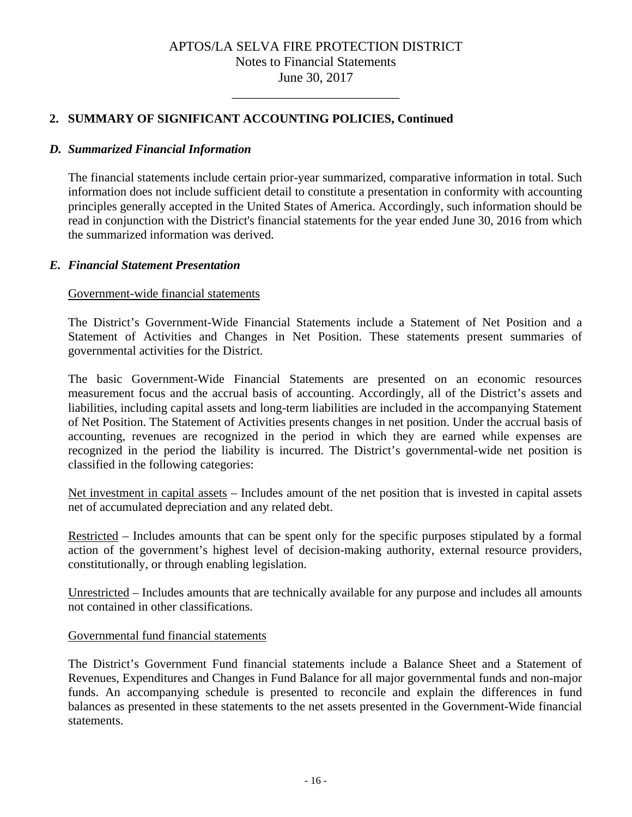\_\_\_\_\_\_\_\_\_\_\_\_\_\_\_\_\_\_\_\_\_\_\_\_\_

### **2. SUMMARY OF SIGNIFICANT ACCOUNTING POLICIES, Continued**

### *D. Summarized Financial Information*

The financial statements include certain prior-year summarized, comparative information in total. Such information does not include sufficient detail to constitute a presentation in conformity with accounting principles generally accepted in the United States of America. Accordingly, such information should be read in conjunction with the District's financial statements for the year ended June 30, 2016 from which the summarized information was derived.

#### *E. Financial Statement Presentation*

#### Government-wide financial statements

The District's Government-Wide Financial Statements include a Statement of Net Position and a Statement of Activities and Changes in Net Position. These statements present summaries of governmental activities for the District.

The basic Government-Wide Financial Statements are presented on an economic resources measurement focus and the accrual basis of accounting. Accordingly, all of the District's assets and liabilities, including capital assets and long-term liabilities are included in the accompanying Statement of Net Position. The Statement of Activities presents changes in net position. Under the accrual basis of accounting, revenues are recognized in the period in which they are earned while expenses are recognized in the period the liability is incurred. The District's governmental-wide net position is classified in the following categories:

Net investment in capital assets – Includes amount of the net position that is invested in capital assets net of accumulated depreciation and any related debt.

Restricted – Includes amounts that can be spent only for the specific purposes stipulated by a formal action of the government's highest level of decision-making authority, external resource providers, constitutionally, or through enabling legislation.

Unrestricted – Includes amounts that are technically available for any purpose and includes all amounts not contained in other classifications.

### Governmental fund financial statements

The District's Government Fund financial statements include a Balance Sheet and a Statement of Revenues, Expenditures and Changes in Fund Balance for all major governmental funds and non-major funds. An accompanying schedule is presented to reconcile and explain the differences in fund balances as presented in these statements to the net assets presented in the Government-Wide financial statements.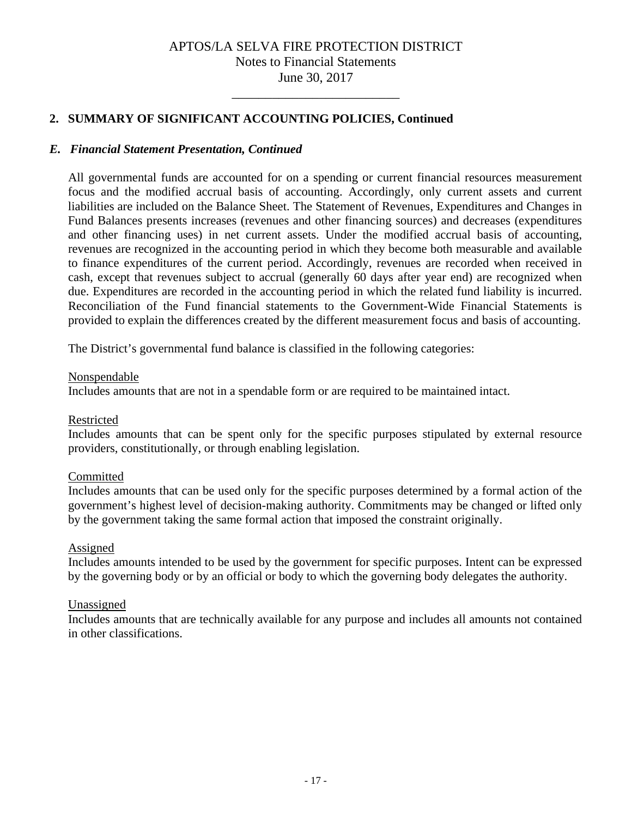\_\_\_\_\_\_\_\_\_\_\_\_\_\_\_\_\_\_\_\_\_\_\_\_\_

### **2. SUMMARY OF SIGNIFICANT ACCOUNTING POLICIES, Continued**

### *E. Financial Statement Presentation, Continued*

All governmental funds are accounted for on a spending or current financial resources measurement focus and the modified accrual basis of accounting. Accordingly, only current assets and current liabilities are included on the Balance Sheet. The Statement of Revenues, Expenditures and Changes in Fund Balances presents increases (revenues and other financing sources) and decreases (expenditures and other financing uses) in net current assets. Under the modified accrual basis of accounting, revenues are recognized in the accounting period in which they become both measurable and available to finance expenditures of the current period. Accordingly, revenues are recorded when received in cash, except that revenues subject to accrual (generally 60 days after year end) are recognized when due. Expenditures are recorded in the accounting period in which the related fund liability is incurred. Reconciliation of the Fund financial statements to the Government-Wide Financial Statements is provided to explain the differences created by the different measurement focus and basis of accounting.

The District's governmental fund balance is classified in the following categories:

#### Nonspendable

Includes amounts that are not in a spendable form or are required to be maintained intact.

### Restricted

Includes amounts that can be spent only for the specific purposes stipulated by external resource providers, constitutionally, or through enabling legislation.

### Committed

Includes amounts that can be used only for the specific purposes determined by a formal action of the government's highest level of decision-making authority. Commitments may be changed or lifted only by the government taking the same formal action that imposed the constraint originally.

### Assigned

Includes amounts intended to be used by the government for specific purposes. Intent can be expressed by the governing body or by an official or body to which the governing body delegates the authority.

### Unassigned

Includes amounts that are technically available for any purpose and includes all amounts not contained in other classifications.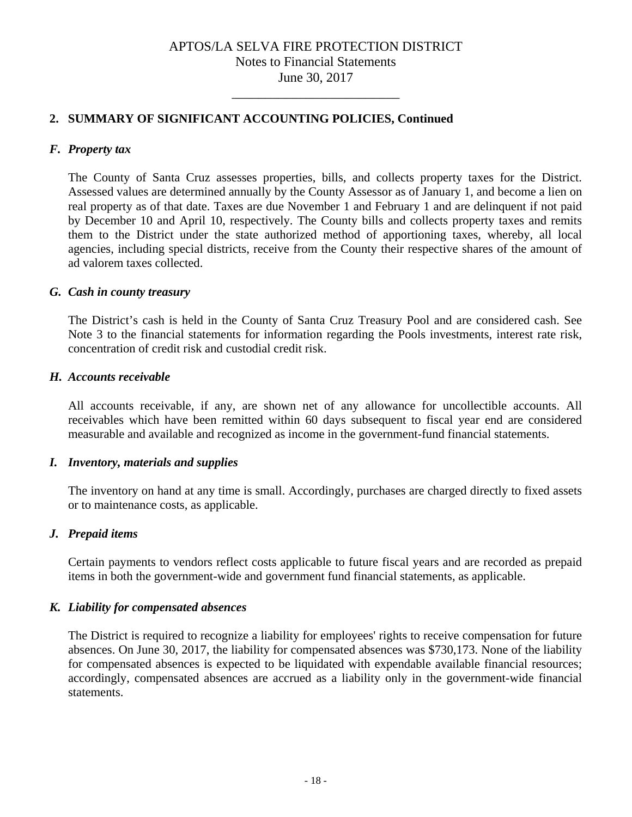\_\_\_\_\_\_\_\_\_\_\_\_\_\_\_\_\_\_\_\_\_\_\_\_\_

### **2. SUMMARY OF SIGNIFICANT ACCOUNTING POLICIES, Continued**

### *F. Property tax*

The County of Santa Cruz assesses properties, bills, and collects property taxes for the District. Assessed values are determined annually by the County Assessor as of January 1, and become a lien on real property as of that date. Taxes are due November 1 and February 1 and are delinquent if not paid by December 10 and April 10, respectively. The County bills and collects property taxes and remits them to the District under the state authorized method of apportioning taxes, whereby, all local agencies, including special districts, receive from the County their respective shares of the amount of ad valorem taxes collected.

#### *G. Cash in county treasury*

The District's cash is held in the County of Santa Cruz Treasury Pool and are considered cash. See Note 3 to the financial statements for information regarding the Pools investments, interest rate risk, concentration of credit risk and custodial credit risk.

### *H. Accounts receivable*

All accounts receivable, if any, are shown net of any allowance for uncollectible accounts. All receivables which have been remitted within 60 days subsequent to fiscal year end are considered measurable and available and recognized as income in the government-fund financial statements.

### *I. Inventory, materials and supplies*

The inventory on hand at any time is small. Accordingly, purchases are charged directly to fixed assets or to maintenance costs, as applicable.

### *J. Prepaid items*

Certain payments to vendors reflect costs applicable to future fiscal years and are recorded as prepaid items in both the government-wide and government fund financial statements, as applicable.

### *K. Liability for compensated absences*

The District is required to recognize a liability for employees' rights to receive compensation for future absences. On June 30, 2017, the liability for compensated absences was \$730,173. None of the liability for compensated absences is expected to be liquidated with expendable available financial resources; accordingly, compensated absences are accrued as a liability only in the government-wide financial statements.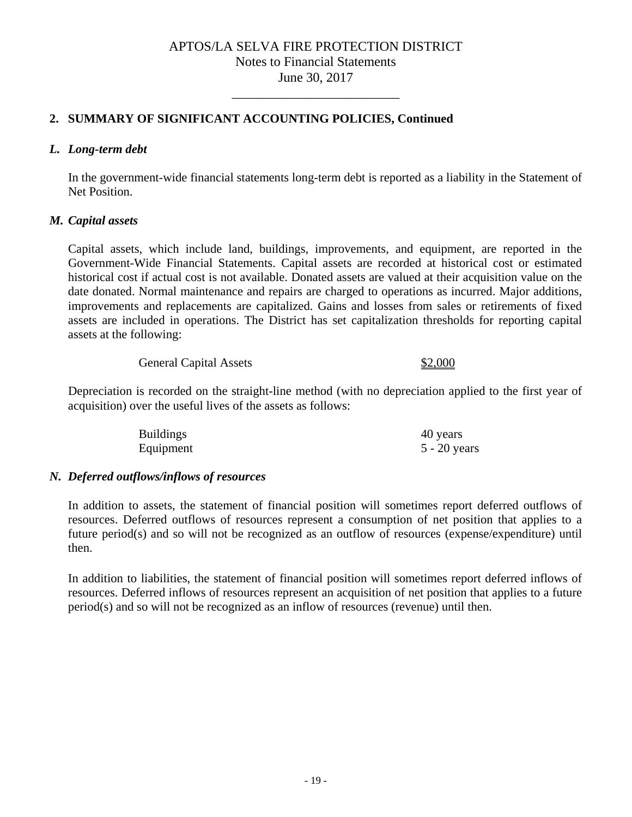\_\_\_\_\_\_\_\_\_\_\_\_\_\_\_\_\_\_\_\_\_\_\_\_\_

# **2. SUMMARY OF SIGNIFICANT ACCOUNTING POLICIES, Continued**

### *L. Long-term debt*

In the government-wide financial statements long-term debt is reported as a liability in the Statement of Net Position.

### *M. Capital assets*

Capital assets, which include land, buildings, improvements, and equipment, are reported in the Government-Wide Financial Statements. Capital assets are recorded at historical cost or estimated historical cost if actual cost is not available. Donated assets are valued at their acquisition value on the date donated. Normal maintenance and repairs are charged to operations as incurred. Major additions, improvements and replacements are capitalized. Gains and losses from sales or retirements of fixed assets are included in operations. The District has set capitalization thresholds for reporting capital assets at the following:

General Capital Assets \$2,000

Depreciation is recorded on the straight-line method (with no depreciation applied to the first year of acquisition) over the useful lives of the assets as follows:

| <b>Buildings</b> | 40 years       |
|------------------|----------------|
| Equipment        | $5 - 20$ years |

### *N. Deferred outflows/inflows of resources*

In addition to assets, the statement of financial position will sometimes report deferred outflows of resources. Deferred outflows of resources represent a consumption of net position that applies to a future period(s) and so will not be recognized as an outflow of resources (expense/expenditure) until then.

In addition to liabilities, the statement of financial position will sometimes report deferred inflows of resources. Deferred inflows of resources represent an acquisition of net position that applies to a future period(s) and so will not be recognized as an inflow of resources (revenue) until then.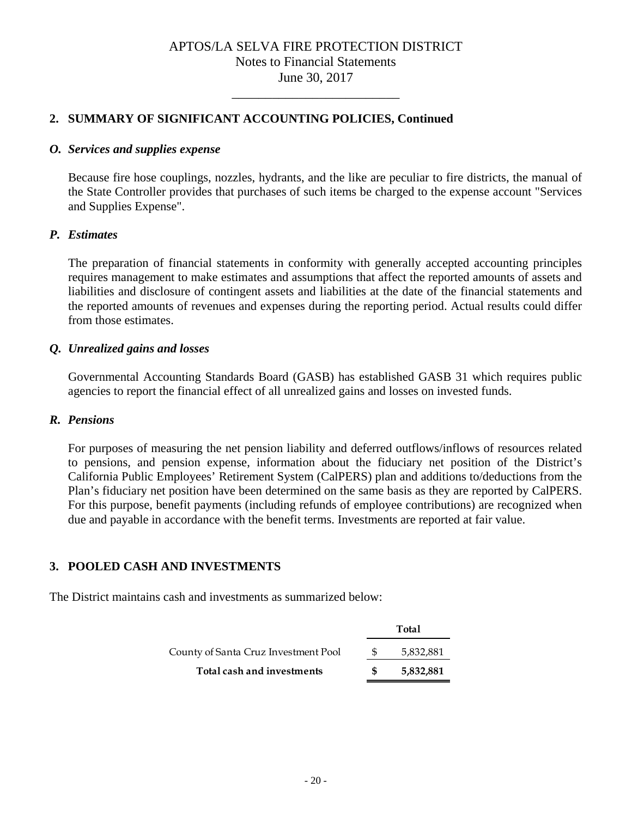\_\_\_\_\_\_\_\_\_\_\_\_\_\_\_\_\_\_\_\_\_\_\_\_\_

### **2. SUMMARY OF SIGNIFICANT ACCOUNTING POLICIES, Continued**

### *O. Services and supplies expense*

Because fire hose couplings, nozzles, hydrants, and the like are peculiar to fire districts, the manual of the State Controller provides that purchases of such items be charged to the expense account "Services and Supplies Expense".

### *P. Estimates*

The preparation of financial statements in conformity with generally accepted accounting principles requires management to make estimates and assumptions that affect the reported amounts of assets and liabilities and disclosure of contingent assets and liabilities at the date of the financial statements and the reported amounts of revenues and expenses during the reporting period. Actual results could differ from those estimates.

### *Q. Unrealized gains and losses*

Governmental Accounting Standards Board (GASB) has established GASB 31 which requires public agencies to report the financial effect of all unrealized gains and losses on invested funds.

### *R. Pensions*

For purposes of measuring the net pension liability and deferred outflows/inflows of resources related to pensions, and pension expense, information about the fiduciary net position of the District's California Public Employees' Retirement System (CalPERS) plan and additions to/deductions from the Plan's fiduciary net position have been determined on the same basis as they are reported by CalPERS. For this purpose, benefit payments (including refunds of employee contributions) are recognized when due and payable in accordance with the benefit terms. Investments are reported at fair value.

### **3. POOLED CASH AND INVESTMENTS**

The District maintains cash and investments as summarized below:

|                                      | <b>Total</b> |  |
|--------------------------------------|--------------|--|
| County of Santa Cruz Investment Pool | 5,832,881    |  |
| Total cash and investments           | 5,832,881    |  |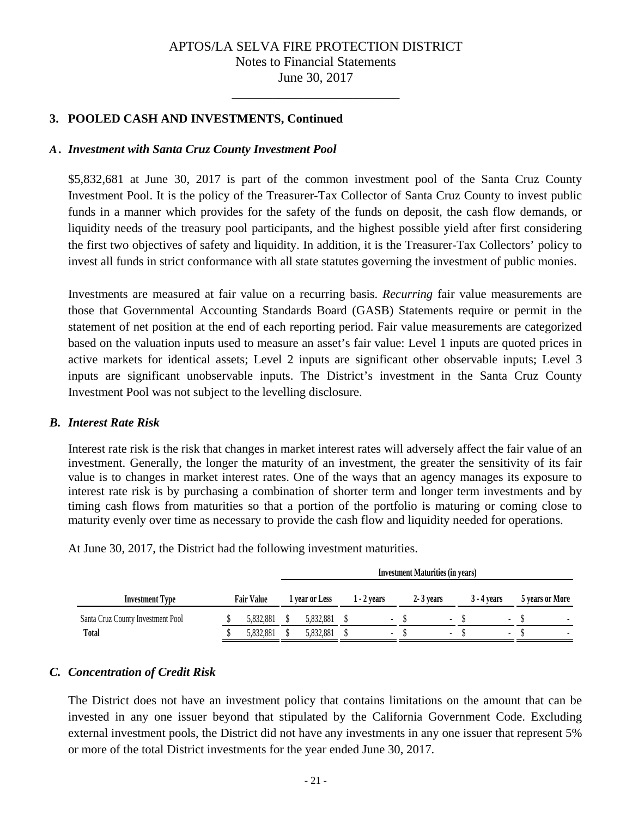\_\_\_\_\_\_\_\_\_\_\_\_\_\_\_\_\_\_\_\_\_\_\_\_\_

### **3. POOLED CASH AND INVESTMENTS, Continued**

### *A . Investment with Santa Cruz County Investment Pool*

\$5,832,681 at June 30, 2017 is part of the common investment pool of the Santa Cruz County Investment Pool. It is the policy of the Treasurer-Tax Collector of Santa Cruz County to invest public funds in a manner which provides for the safety of the funds on deposit, the cash flow demands, or liquidity needs of the treasury pool participants, and the highest possible yield after first considering the first two objectives of safety and liquidity. In addition, it is the Treasurer-Tax Collectors' policy to invest all funds in strict conformance with all state statutes governing the investment of public monies.

Investments are measured at fair value on a recurring basis. *Recurring* fair value measurements are those that Governmental Accounting Standards Board (GASB) Statements require or permit in the statement of net position at the end of each reporting period. Fair value measurements are categorized based on the valuation inputs used to measure an asset's fair value: Level 1 inputs are quoted prices in active markets for identical assets; Level 2 inputs are significant other observable inputs; Level 3 inputs are significant unobservable inputs. The District's investment in the Santa Cruz County Investment Pool was not subject to the levelling disclosure.

### *B. Interest Rate Risk*

Interest rate risk is the risk that changes in market interest rates will adversely affect the fair value of an investment. Generally, the longer the maturity of an investment, the greater the sensitivity of its fair value is to changes in market interest rates. One of the ways that an agency manages its exposure to interest rate risk is by purchasing a combination of shorter term and longer term investments and by timing cash flows from maturities so that a portion of the portfolio is maturing or coming close to maturity evenly over time as necessary to provide the cash flow and liquidity needed for operations.

|                                   |                   | <b>Investment Maturities (in years)</b> |                |  |                          |           |                          |             |                 |
|-----------------------------------|-------------------|-----------------------------------------|----------------|--|--------------------------|-----------|--------------------------|-------------|-----------------|
| <b>Investment Type</b>            | <b>Fair Value</b> |                                         | 1 vear or Less |  | $1 - 2$ vears            | 2 3 years |                          | 3 - 4 years | 5 years or More |
| Santa Cruz County Investment Pool | 5.832.881         |                                         | 5,832,881      |  | $\overline{\phantom{a}}$ |           | ٠                        | $\sim$      |                 |
| <b>Total</b>                      | 5.832.881         |                                         | 5.832.881      |  | $\overline{\phantom{a}}$ |           | $\overline{\phantom{a}}$ |             |                 |

At June 30, 2017, the District had the following investment maturities.

### *C. Concentration of Credit Risk*

The District does not have an investment policy that contains limitations on the amount that can be invested in any one issuer beyond that stipulated by the California Government Code. Excluding external investment pools, the District did not have any investments in any one issuer that represent 5% or more of the total District investments for the year ended June 30, 2017.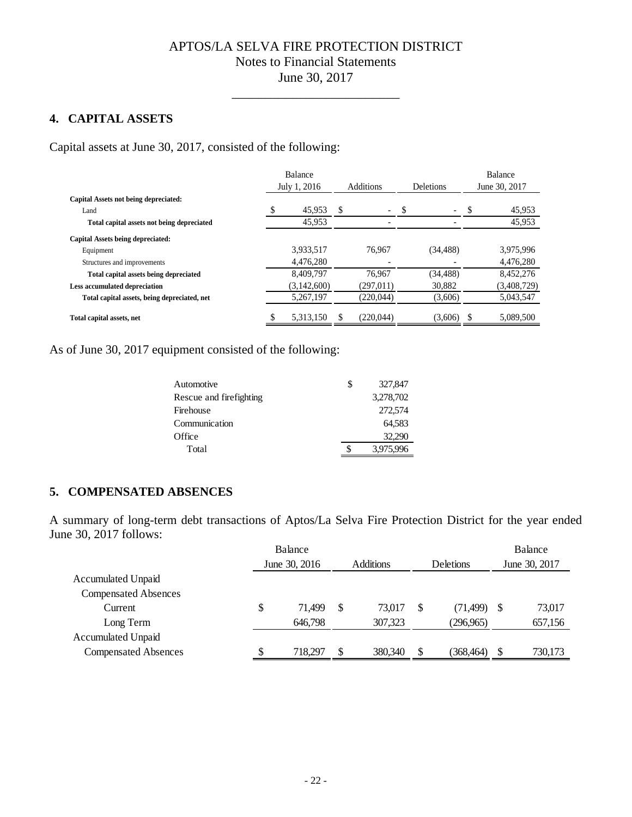\_\_\_\_\_\_\_\_\_\_\_\_\_\_\_\_\_\_\_\_\_\_\_\_\_

# **4. CAPITAL ASSETS**

Capital assets at June 30, 2017, consisted of the following:

|                                              | <b>Balance</b>  |   |                          |                          |   | Balance       |
|----------------------------------------------|-----------------|---|--------------------------|--------------------------|---|---------------|
|                                              | July 1, 2016    |   | <b>Additions</b>         | <b>Deletions</b>         |   | June 30, 2017 |
| Capital Assets not being depreciated:        |                 |   |                          |                          |   |               |
| Land                                         | \$<br>45,953    | S | $\overline{\phantom{a}}$ | $\overline{\phantom{0}}$ |   | 45,953        |
| Total capital assets not being depreciated   | 45,953          |   |                          |                          |   | 45,953        |
| Capital Assets being depreciated:            |                 |   |                          |                          |   |               |
| Equipment                                    | 3,933,517       |   | 76.967                   | (34, 488)                |   | 3.975.996     |
| Structures and improvements                  | 4,476,280       |   |                          |                          |   | 4,476,280     |
| Total capital assets being depreciated       | 8.409.797       |   | 76.967                   | (34, 488)                |   | 8,452,276     |
| <b>Less accumulated depreciation</b>         | (3,142,600)     |   | (297, 011)               | 30,882                   |   | (3,408,729)   |
| Total capital assets, being depreciated, net | 5,267,197       |   | (220, 044)               | (3,606)                  |   | 5,043,547     |
| Total capital assets, net                    | \$<br>5.313.150 |   | (220.044)                | (3,606)                  | S | 5.089.500     |

As of June 30, 2017 equipment consisted of the following:

| S | 327,847   |
|---|-----------|
|   | 3,278,702 |
|   | 272,574   |
|   | 64,583    |
|   | 32,290    |
|   | 3,975,996 |
|   |           |

### **5. COMPENSATED ABSENCES**

A summary of long-term debt transactions of Aptos/La Selva Fire Protection District for the year ended June 30, 2017 follows:

|                             |    | Balance       |    |                  |    |                  |    | Balance       |
|-----------------------------|----|---------------|----|------------------|----|------------------|----|---------------|
|                             |    | June 30, 2016 |    | <b>Additions</b> |    | <b>Deletions</b> |    | June 30, 2017 |
| <b>Accumulated Unpaid</b>   |    |               |    |                  |    |                  |    |               |
| <b>Compensated Absences</b> |    |               |    |                  |    |                  |    |               |
| Current                     | \$ | 71,499        | \$ | 73.017           | \$ | (71, 499)        | -S | 73,017        |
| Long Term                   |    | 646,798       |    | 307,323          |    | (296,965)        |    | 657,156       |
| <b>Accumulated Unpaid</b>   |    |               |    |                  |    |                  |    |               |
| <b>Compensated Absences</b> | S  | 718.297       | S  | 380,340          | S  | (368,464)        | \$ | 730,173       |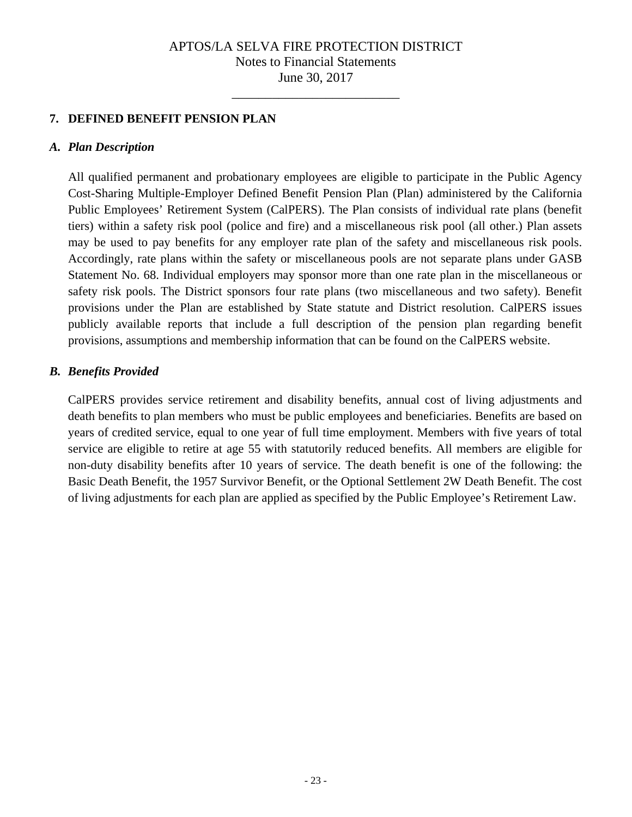\_\_\_\_\_\_\_\_\_\_\_\_\_\_\_\_\_\_\_\_\_\_\_\_\_

# **7. DEFINED BENEFIT PENSION PLAN**

### *A. Plan Description*

All qualified permanent and probationary employees are eligible to participate in the Public Agency Cost-Sharing Multiple-Employer Defined Benefit Pension Plan (Plan) administered by the California Public Employees' Retirement System (CalPERS). The Plan consists of individual rate plans (benefit tiers) within a safety risk pool (police and fire) and a miscellaneous risk pool (all other.) Plan assets may be used to pay benefits for any employer rate plan of the safety and miscellaneous risk pools. Accordingly, rate plans within the safety or miscellaneous pools are not separate plans under GASB Statement No. 68. Individual employers may sponsor more than one rate plan in the miscellaneous or safety risk pools. The District sponsors four rate plans (two miscellaneous and two safety). Benefit provisions under the Plan are established by State statute and District resolution. CalPERS issues publicly available reports that include a full description of the pension plan regarding benefit provisions, assumptions and membership information that can be found on the CalPERS website.

### *B. Benefits Provided*

CalPERS provides service retirement and disability benefits, annual cost of living adjustments and death benefits to plan members who must be public employees and beneficiaries. Benefits are based on years of credited service, equal to one year of full time employment. Members with five years of total service are eligible to retire at age 55 with statutorily reduced benefits. All members are eligible for non-duty disability benefits after 10 years of service. The death benefit is one of the following: the Basic Death Benefit, the 1957 Survivor Benefit, or the Optional Settlement 2W Death Benefit. The cost of living adjustments for each plan are applied as specified by the Public Employee's Retirement Law.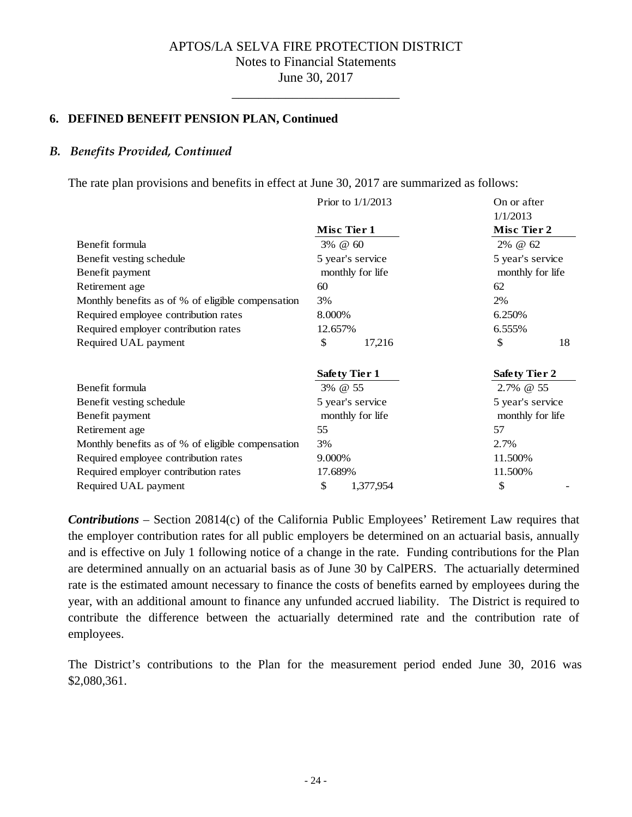\_\_\_\_\_\_\_\_\_\_\_\_\_\_\_\_\_\_\_\_\_\_\_\_\_

### **6. DEFINED BENEFIT PENSION PLAN, Continued**

### *B. Benefits Provided, Continued*

The rate plan provisions and benefits in effect at June 30, 2017 are summarized as follows:

|                                                   | Prior to $1/1/2013$  | On or after             |
|---------------------------------------------------|----------------------|-------------------------|
|                                                   | Misc Tier 1          | 1/1/2013<br>Misc Tier 2 |
| Benefit formula                                   | 3% @ 60              | 2% @ 62                 |
| Benefit vesting schedule                          | 5 year's service     | 5 year's service        |
| Benefit payment                                   | monthly for life     | monthly for life        |
| Retirement age                                    | 60                   | 62                      |
| Monthly benefits as of % of eligible compensation | 3%                   | 2%                      |
| Required employee contribution rates              | 8.000%               | 6.250%                  |
| Required employer contribution rates              | 12.657%              | 6.555%                  |
| Required UAL payment                              | \$<br>17,216         | \$<br>18                |
|                                                   | <b>Safety Tier 1</b> | <b>Safety Tier 2</b>    |
| Benefit formula                                   | 3% @ 55              | 2.7% @ 55               |
| Benefit vesting schedule                          | 5 year's service     | 5 year's service        |
| Benefit payment                                   | monthly for life     | monthly for life        |
| Retirement age                                    | 55                   | 57                      |
| Monthly benefits as of % of eligible compensation | 3%                   | 2.7%                    |
| Required employee contribution rates              | 9.000%               | 11.500%                 |
| Required employer contribution rates              | 17.689%              | 11.500%                 |
| Required UAL payment                              | \$<br>1,377,954      | \$                      |

*Contributions* – Section 20814(c) of the California Public Employees' Retirement Law requires that the employer contribution rates for all public employers be determined on an actuarial basis, annually and is effective on July 1 following notice of a change in the rate. Funding contributions for the Plan are determined annually on an actuarial basis as of June 30 by CalPERS. The actuarially determined rate is the estimated amount necessary to finance the costs of benefits earned by employees during the year, with an additional amount to finance any unfunded accrued liability. The District is required to contribute the difference between the actuarially determined rate and the contribution rate of employees.

The District's contributions to the Plan for the measurement period ended June 30, 2016 was \$2,080,361.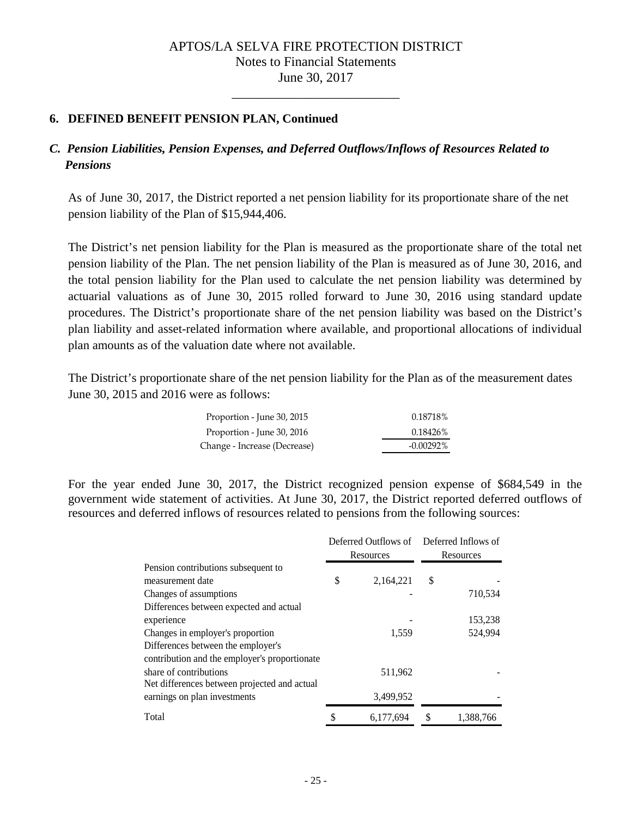\_\_\_\_\_\_\_\_\_\_\_\_\_\_\_\_\_\_\_\_\_\_\_\_\_

### **6. DEFINED BENEFIT PENSION PLAN, Continued**

# *C. Pension Liabilities, Pension Expenses, and Deferred Outflows/Inflows of Resources Related to Pensions*

As of June 30, 2017, the District reported a net pension liability for its proportionate share of the net pension liability of the Plan of \$15,944,406.

The District's net pension liability for the Plan is measured as the proportionate share of the total net pension liability of the Plan. The net pension liability of the Plan is measured as of June 30, 2016, and the total pension liability for the Plan used to calculate the net pension liability was determined by actuarial valuations as of June 30, 2015 rolled forward to June 30, 2016 using standard update procedures. The District's proportionate share of the net pension liability was based on the District's plan liability and asset-related information where available, and proportional allocations of individual plan amounts as of the valuation date where not available.

The District's proportionate share of the net pension liability for the Plan as of the measurement dates June 30, 2015 and 2016 were as follows:

| Proportion - June 30, 2015   | 0.18718%     |
|------------------------------|--------------|
| Proportion - June 30, 2016   | 0.18426%     |
| Change - Increase (Decrease) | $-0.00292\%$ |

For the year ended June 30, 2017, the District recognized pension expense of \$684,549 in the government wide statement of activities. At June 30, 2017, the District reported deferred outflows of resources and deferred inflows of resources related to pensions from the following sources:

|                                               | Resources       | Deferred Outflows of Deferred Inflows of<br>Resources |           |  |
|-----------------------------------------------|-----------------|-------------------------------------------------------|-----------|--|
| Pension contributions subsequent to           |                 |                                                       |           |  |
| measurement date                              | \$<br>2,164,221 | \$                                                    |           |  |
| Changes of assumptions                        |                 |                                                       | 710,534   |  |
| Differences between expected and actual       |                 |                                                       |           |  |
| experience                                    |                 |                                                       | 153,238   |  |
| Changes in employer's proportion              | 1,559           |                                                       | 524.994   |  |
| Differences between the employer's            |                 |                                                       |           |  |
| contribution and the employer's proportionate |                 |                                                       |           |  |
| share of contributions                        | 511,962         |                                                       |           |  |
| Net differences between projected and actual  |                 |                                                       |           |  |
| earnings on plan investments                  | 3,499,952       |                                                       |           |  |
| Total                                         | 6,177,694       | \$                                                    | 1,388,766 |  |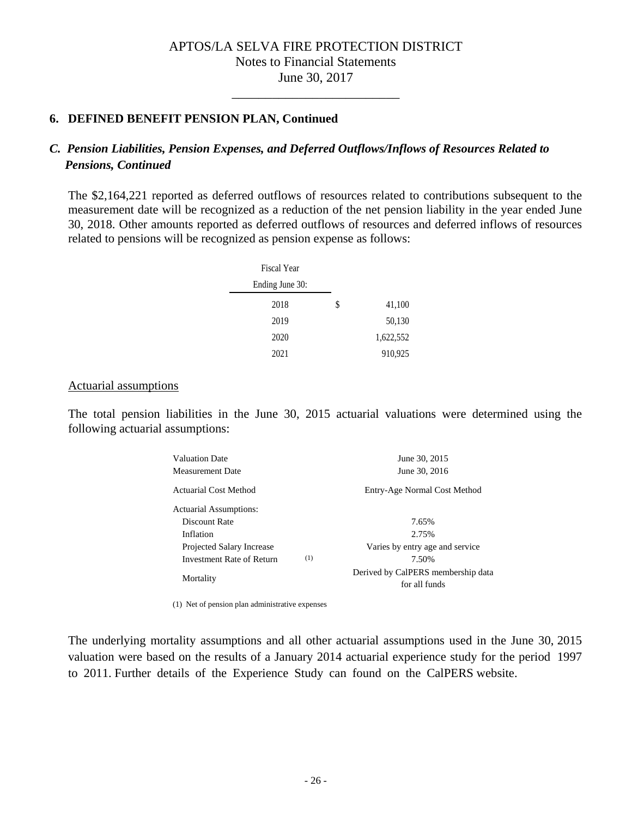\_\_\_\_\_\_\_\_\_\_\_\_\_\_\_\_\_\_\_\_\_\_\_\_\_

### **6. DEFINED BENEFIT PENSION PLAN, Continued**

### *C. Pension Liabilities, Pension Expenses, and Deferred Outflows/Inflows of Resources Related to Pensions, Continued*

The \$2,164,221 reported as deferred outflows of resources related to contributions subsequent to the measurement date will be recognized as a reduction of the net pension liability in the year ended June 30, 2018. Other amounts reported as deferred outflows of resources and deferred inflows of resources related to pensions will be recognized as pension expense as follows:

| Fiscal Year     |              |
|-----------------|--------------|
| Ending June 30: |              |
| 2018            | \$<br>41,100 |
| 2019            | 50,130       |
| 2020            | 1,622,552    |
| 2021            | 910,925      |

### Actuarial assumptions

The total pension liabilities in the June 30, 2015 actuarial valuations were determined using the following actuarial assumptions:

| Valuation Date                   | June 30, 2015                                       |
|----------------------------------|-----------------------------------------------------|
| Measurement Date                 | June 30, 2016                                       |
| <b>Actuarial Cost Method</b>     | Entry-Age Normal Cost Method                        |
| <b>Actuarial Assumptions:</b>    |                                                     |
| Discount Rate                    | 7.65%                                               |
| Inflation                        | 2.75%                                               |
| Projected Salary Increase        | Varies by entry age and service                     |
| (1)<br>Investment Rate of Return | 7.50%                                               |
| Mortality                        | Derived by CalPERS membership data<br>for all funds |

(1) Net of pension plan administrative expenses

The underlying mortality assumptions and all other actuarial assumptions used in the June 30, 2015 valuation were based on the results of a January 2014 actuarial experience study for the period 1997 to 2011. Further details of the Experience Study can found on the CalPERS website.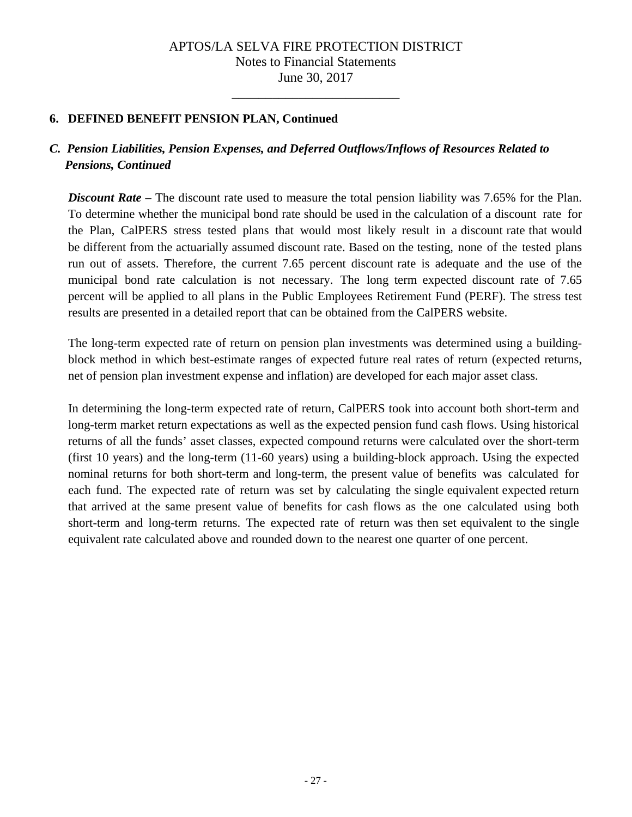\_\_\_\_\_\_\_\_\_\_\_\_\_\_\_\_\_\_\_\_\_\_\_\_\_

### **6. DEFINED BENEFIT PENSION PLAN, Continued**

# *C. Pension Liabilities, Pension Expenses, and Deferred Outflows/Inflows of Resources Related to Pensions, Continued*

*Discount Rate* – The discount rate used to measure the total pension liability was 7.65% for the Plan. To determine whether the municipal bond rate should be used in the calculation of a discount rate for the Plan, CalPERS stress tested plans that would most likely result in a discount rate that would be different from the actuarially assumed discount rate. Based on the testing, none of the tested plans run out of assets. Therefore, the current 7.65 percent discount rate is adequate and the use of the municipal bond rate calculation is not necessary. The long term expected discount rate of 7.65 percent will be applied to all plans in the Public Employees Retirement Fund (PERF). The stress test results are presented in a detailed report that can be obtained from the CalPERS website.

The long-term expected rate of return on pension plan investments was determined using a buildingblock method in which best-estimate ranges of expected future real rates of return (expected returns, net of pension plan investment expense and inflation) are developed for each major asset class.

In determining the long-term expected rate of return, CalPERS took into account both short-term and long-term market return expectations as well as the expected pension fund cash flows. Using historical returns of all the funds' asset classes, expected compound returns were calculated over the short-term (first 10 years) and the long-term (11-60 years) using a building-block approach. Using the expected nominal returns for both short-term and long-term, the present value of benefits was calculated for each fund. The expected rate of return was set by calculating the single equivalent expected return that arrived at the same present value of benefits for cash flows as the one calculated using both short-term and long-term returns. The expected rate of return was then set equivalent to the single equivalent rate calculated above and rounded down to the nearest one quarter of one percent.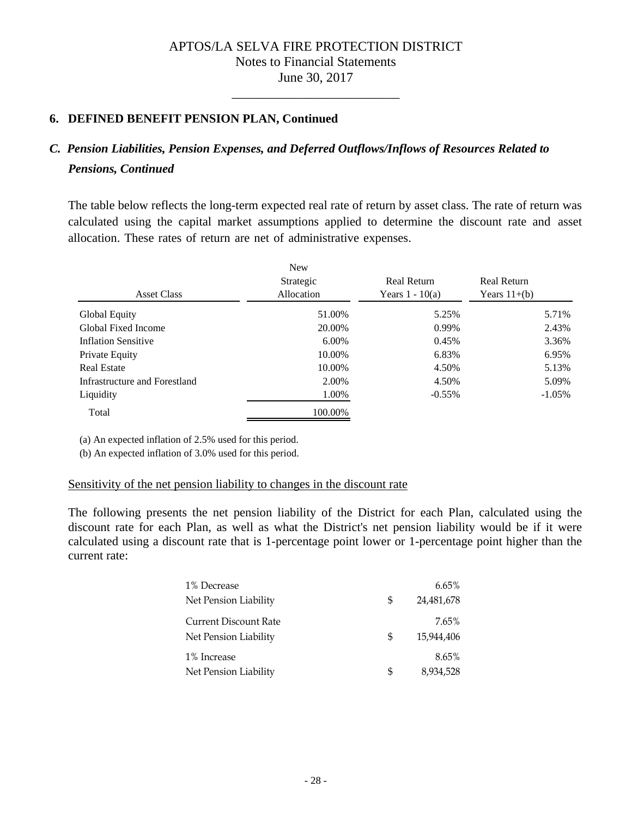\_\_\_\_\_\_\_\_\_\_\_\_\_\_\_\_\_\_\_\_\_\_\_\_\_

### **6. DEFINED BENEFIT PENSION PLAN, Continued**

# *C. Pension Liabilities, Pension Expenses, and Deferred Outflows/Inflows of Resources Related to Pensions, Continued*

The table below reflects the long-term expected real rate of return by asset class. The rate of return was calculated using the capital market assumptions applied to determine the discount rate and asset allocation. These rates of return are net of administrative expenses.

| <b>Asset Class</b>            | <b>New</b><br>Strategic<br>Allocation | <b>Real Return</b><br>Years $1 - 10(a)$ | <b>Real Return</b><br>Years $11+(b)$ |
|-------------------------------|---------------------------------------|-----------------------------------------|--------------------------------------|
| Global Equity                 | 51.00%                                | 5.25%                                   | 5.71%                                |
| Global Fixed Income           | 20.00%                                | 0.99%                                   | 2.43%                                |
| <b>Inflation Sensitive</b>    | 6.00%                                 | 0.45%                                   | 3.36%                                |
| Private Equity                | 10.00%                                | 6.83%                                   | 6.95%                                |
| <b>Real Estate</b>            | 10.00%                                | 4.50%                                   | 5.13%                                |
| Infrastructure and Forestland | 2.00%                                 | 4.50%                                   | 5.09%                                |
| Liquidity                     | 1.00%                                 | $-0.55\%$                               | $-1.05\%$                            |
| Total                         | 100.00%                               |                                         |                                      |

(a) An expected inflation of 2.5% used for this period.

(b) An expected inflation of 3.0% used for this period.

#### Sensitivity of the net pension liability to changes in the discount rate

The following presents the net pension liability of the District for each Plan, calculated using the discount rate for each Plan, as well as what the District's net pension liability would be if it were calculated using a discount rate that is 1-percentage point lower or 1-percentage point higher than the current rate:

| 1% Decrease                  |    | 6.65%      |
|------------------------------|----|------------|
| Net Pension Liability        | \$ | 24,481,678 |
| <b>Current Discount Rate</b> |    | 7.65%      |
| Net Pension Liability        | \$ | 15.944.406 |
| 1% Increase                  |    | 8.65%      |
| Net Pension Liability        | S  | 8,934,528  |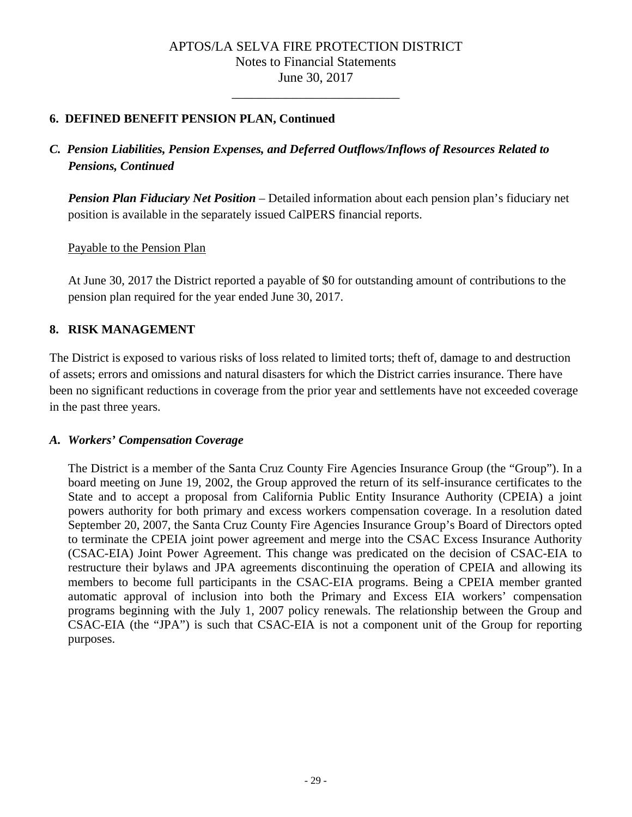\_\_\_\_\_\_\_\_\_\_\_\_\_\_\_\_\_\_\_\_\_\_\_\_\_

# **6. DEFINED BENEFIT PENSION PLAN, Continued**

# *C. Pension Liabilities, Pension Expenses, and Deferred Outflows/Inflows of Resources Related to Pensions, Continued*

*Pension Plan Fiduciary Net Position* – Detailed information about each pension plan's fiduciary net position is available in the separately issued CalPERS financial reports.

Payable to the Pension Plan

At June 30, 2017 the District reported a payable of \$0 for outstanding amount of contributions to the pension plan required for the year ended June 30, 2017.

### **8. RISK MANAGEMENT**

The District is exposed to various risks of loss related to limited torts; theft of, damage to and destruction of assets; errors and omissions and natural disasters for which the District carries insurance. There have been no significant reductions in coverage from the prior year and settlements have not exceeded coverage in the past three years.

### *A. Workers' Compensation Coverage*

The District is a member of the Santa Cruz County Fire Agencies Insurance Group (the "Group"). In a board meeting on June 19, 2002, the Group approved the return of its self-insurance certificates to the State and to accept a proposal from California Public Entity Insurance Authority (CPEIA) a joint powers authority for both primary and excess workers compensation coverage. In a resolution dated September 20, 2007, the Santa Cruz County Fire Agencies Insurance Group's Board of Directors opted to terminate the CPEIA joint power agreement and merge into the CSAC Excess Insurance Authority (CSAC-EIA) Joint Power Agreement. This change was predicated on the decision of CSAC-EIA to restructure their bylaws and JPA agreements discontinuing the operation of CPEIA and allowing its members to become full participants in the CSAC-EIA programs. Being a CPEIA member granted automatic approval of inclusion into both the Primary and Excess EIA workers' compensation programs beginning with the July 1, 2007 policy renewals. The relationship between the Group and CSAC-EIA (the "JPA") is such that CSAC-EIA is not a component unit of the Group for reporting purposes.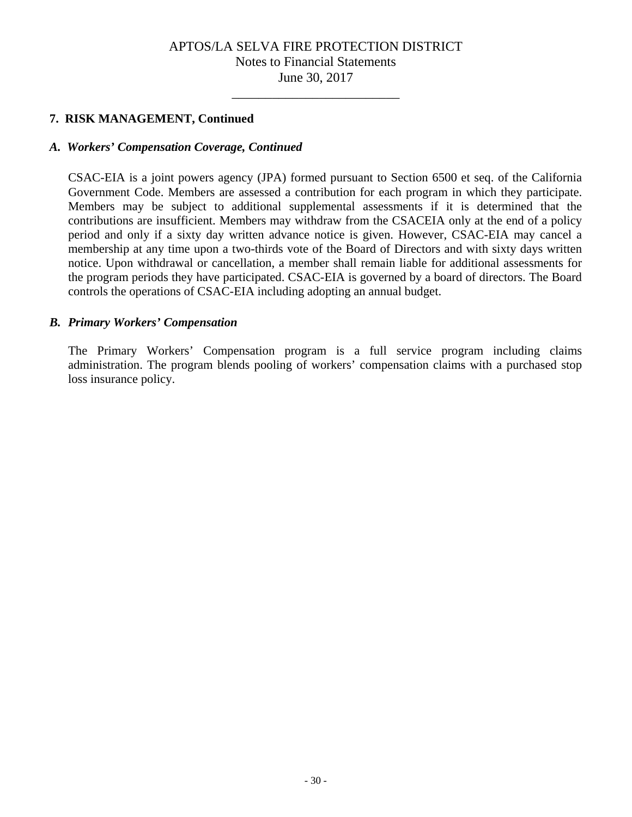\_\_\_\_\_\_\_\_\_\_\_\_\_\_\_\_\_\_\_\_\_\_\_\_\_

### **7. RISK MANAGEMENT, Continued**

### *A. Workers' Compensation Coverage, Continued*

CSAC-EIA is a joint powers agency (JPA) formed pursuant to Section 6500 et seq. of the California Government Code. Members are assessed a contribution for each program in which they participate. Members may be subject to additional supplemental assessments if it is determined that the contributions are insufficient. Members may withdraw from the CSACEIA only at the end of a policy period and only if a sixty day written advance notice is given. However, CSAC-EIA may cancel a membership at any time upon a two-thirds vote of the Board of Directors and with sixty days written notice. Upon withdrawal or cancellation, a member shall remain liable for additional assessments for the program periods they have participated. CSAC-EIA is governed by a board of directors. The Board controls the operations of CSAC-EIA including adopting an annual budget.

### *B. Primary Workers' Compensation*

The Primary Workers' Compensation program is a full service program including claims administration. The program blends pooling of workers' compensation claims with a purchased stop loss insurance policy.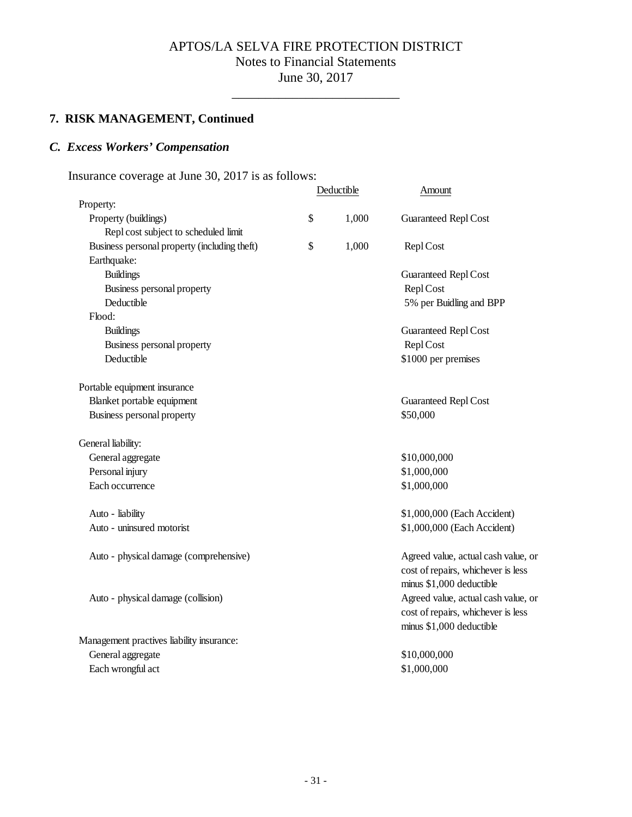\_\_\_\_\_\_\_\_\_\_\_\_\_\_\_\_\_\_\_\_\_\_\_\_\_

# **7. RISK MANAGEMENT, Continued**

## *C. Excess Workers' Compensation*

Insurance coverage at June 30, 2017 is as follows:

|                                              | Deductible  | Amount                                                                                                |
|----------------------------------------------|-------------|-------------------------------------------------------------------------------------------------------|
| Property:                                    |             |                                                                                                       |
| Property (buildings)                         | \$<br>1,000 | Guaranteed Repl Cost                                                                                  |
| Repl cost subject to scheduled limit         |             |                                                                                                       |
| Business personal property (including theft) | \$<br>1,000 | Repl Cost                                                                                             |
| Earthquake:                                  |             |                                                                                                       |
| <b>Buildings</b>                             |             | <b>Guaranteed Repl Cost</b>                                                                           |
| Business personal property                   |             | Repl Cost                                                                                             |
| Deductible                                   |             | 5% per Buidling and BPP                                                                               |
| Flood:                                       |             |                                                                                                       |
| <b>Buildings</b>                             |             | <b>Guaranteed Repl Cost</b>                                                                           |
| Business personal property                   |             | Repl Cost                                                                                             |
| Deductible                                   |             | \$1000 per premises                                                                                   |
| Portable equipment insurance                 |             |                                                                                                       |
| Blanket portable equipment                   |             | <b>Guaranteed Repl Cost</b>                                                                           |
| Business personal property                   |             | \$50,000                                                                                              |
| General liability:                           |             |                                                                                                       |
| General aggregate                            |             | \$10,000,000                                                                                          |
| Personal injury                              |             | \$1,000,000                                                                                           |
| Each occurrence                              |             | \$1,000,000                                                                                           |
| Auto - liability                             |             | \$1,000,000 (Each Accident)                                                                           |
| Auto - uninsured motorist                    |             | \$1,000,000 (Each Accident)                                                                           |
| Auto - physical damage (comprehensive)       |             | Agreed value, actual cash value, or<br>cost of repairs, whichever is less<br>minus \$1,000 deductible |
| Auto - physical damage (collision)           |             | Agreed value, actual cash value, or                                                                   |
|                                              |             | cost of repairs, whichever is less                                                                    |
|                                              |             | minus \$1,000 deductible                                                                              |
| Management practives liability insurance:    |             |                                                                                                       |
| General aggregate                            |             | \$10,000,000                                                                                          |
| Each wrongful act                            |             | \$1,000,000                                                                                           |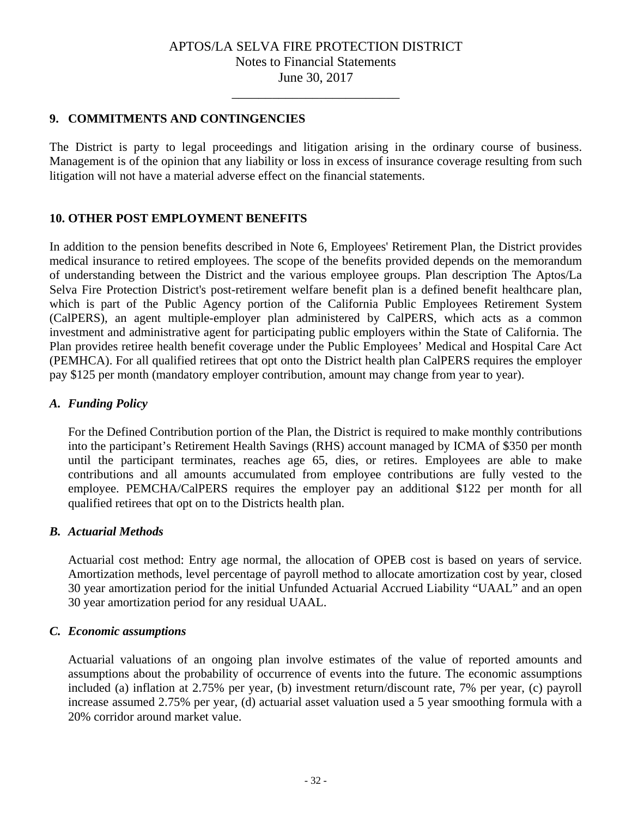\_\_\_\_\_\_\_\_\_\_\_\_\_\_\_\_\_\_\_\_\_\_\_\_\_

### **9. COMMITMENTS AND CONTINGENCIES**

The District is party to legal proceedings and litigation arising in the ordinary course of business. Management is of the opinion that any liability or loss in excess of insurance coverage resulting from such litigation will not have a material adverse effect on the financial statements.

### **10. OTHER POST EMPLOYMENT BENEFITS**

In addition to the pension benefits described in Note 6, Employees' Retirement Plan, the District provides medical insurance to retired employees. The scope of the benefits provided depends on the memorandum of understanding between the District and the various employee groups. Plan description The Aptos/La Selva Fire Protection District's post-retirement welfare benefit plan is a defined benefit healthcare plan, which is part of the Public Agency portion of the California Public Employees Retirement System (CalPERS), an agent multiple-employer plan administered by CalPERS, which acts as a common investment and administrative agent for participating public employers within the State of California. The Plan provides retiree health benefit coverage under the Public Employees' Medical and Hospital Care Act (PEMHCA). For all qualified retirees that opt onto the District health plan CalPERS requires the employer pay \$125 per month (mandatory employer contribution, amount may change from year to year).

### *A. Funding Policy*

For the Defined Contribution portion of the Plan, the District is required to make monthly contributions into the participant's Retirement Health Savings (RHS) account managed by ICMA of \$350 per month until the participant terminates, reaches age 65, dies, or retires. Employees are able to make contributions and all amounts accumulated from employee contributions are fully vested to the employee. PEMCHA/CalPERS requires the employer pay an additional \$122 per month for all qualified retirees that opt on to the Districts health plan.

### *B. Actuarial Methods*

Actuarial cost method: Entry age normal, the allocation of OPEB cost is based on years of service. Amortization methods, level percentage of payroll method to allocate amortization cost by year, closed 30 year amortization period for the initial Unfunded Actuarial Accrued Liability "UAAL" and an open 30 year amortization period for any residual UAAL.

### *C. Economic assumptions*

Actuarial valuations of an ongoing plan involve estimates of the value of reported amounts and assumptions about the probability of occurrence of events into the future. The economic assumptions included (a) inflation at 2.75% per year, (b) investment return/discount rate, 7% per year, (c) payroll increase assumed 2.75% per year, (d) actuarial asset valuation used a 5 year smoothing formula with a 20% corridor around market value.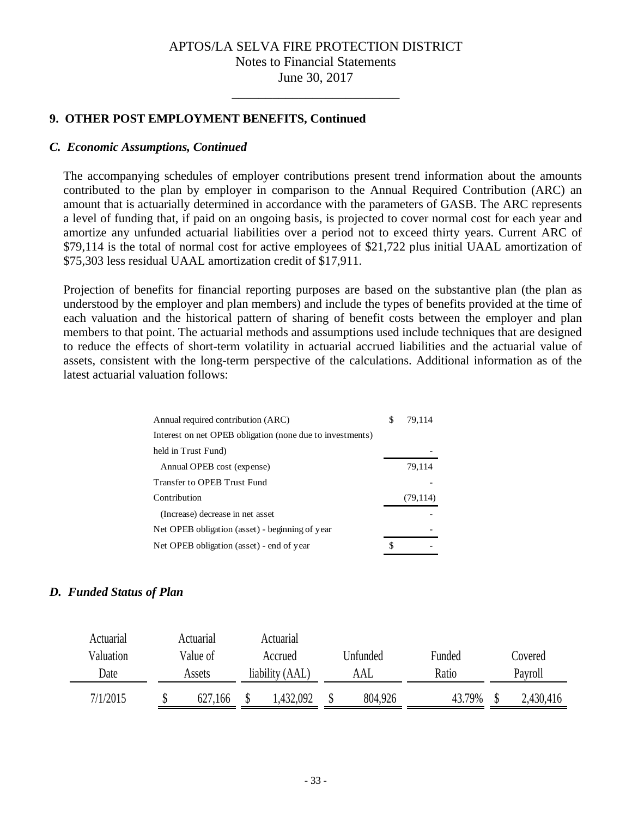\_\_\_\_\_\_\_\_\_\_\_\_\_\_\_\_\_\_\_\_\_\_\_\_\_

### **9. OTHER POST EMPLOYMENT BENEFITS, Continued**

### *C. Economic Assumptions, Continued*

The accompanying schedules of employer contributions present trend information about the amounts contributed to the plan by employer in comparison to the Annual Required Contribution (ARC) an amount that is actuarially determined in accordance with the parameters of GASB. The ARC represents a level of funding that, if paid on an ongoing basis, is projected to cover normal cost for each year and amortize any unfunded actuarial liabilities over a period not to exceed thirty years. Current ARC of \$79,114 is the total of normal cost for active employees of \$21,722 plus initial UAAL amortization of \$75,303 less residual UAAL amortization credit of \$17,911.

Projection of benefits for financial reporting purposes are based on the substantive plan (the plan as understood by the employer and plan members) and include the types of benefits provided at the time of each valuation and the historical pattern of sharing of benefit costs between the employer and plan members to that point. The actuarial methods and assumptions used include techniques that are designed to reduce the effects of short-term volatility in actuarial accrued liabilities and the actuarial value of assets, consistent with the long-term perspective of the calculations. Additional information as of the latest actuarial valuation follows:

| Annual required contribution (ARC)                        | S  | 79.114    |
|-----------------------------------------------------------|----|-----------|
| Interest on net OPEB obligation (none due to investments) |    |           |
| held in Trust Fund)                                       |    |           |
| Annual OPEB cost (expense)                                |    | 79,114    |
| Transfer to OPEB Trust Fund                               |    |           |
| Contribution                                              |    | (79, 114) |
| (Increase) decrease in net asset                          |    |           |
| Net OPEB obligation (asset) - beginning of year           |    |           |
| Net OPEB obligation (asset) - end of year                 | \$ |           |

### *D. Funded Status of Plan*

| Actuarial | Actuarial           |  | Actuarial       |     |         |  |          |       |           |         |         |
|-----------|---------------------|--|-----------------|-----|---------|--|----------|-------|-----------|---------|---------|
| Valuation | Value of<br>Accrued |  |                 |     |         |  | Unfunded |       | Funded    |         | Covered |
| Date      | Assets              |  | liability (AAL) | AAL |         |  |          | Ratio |           | Payroll |         |
| 7/1/2015  | 627,166             |  | .432,092        |     | 804,926 |  | 43.79%   |       | 2,430,416 |         |         |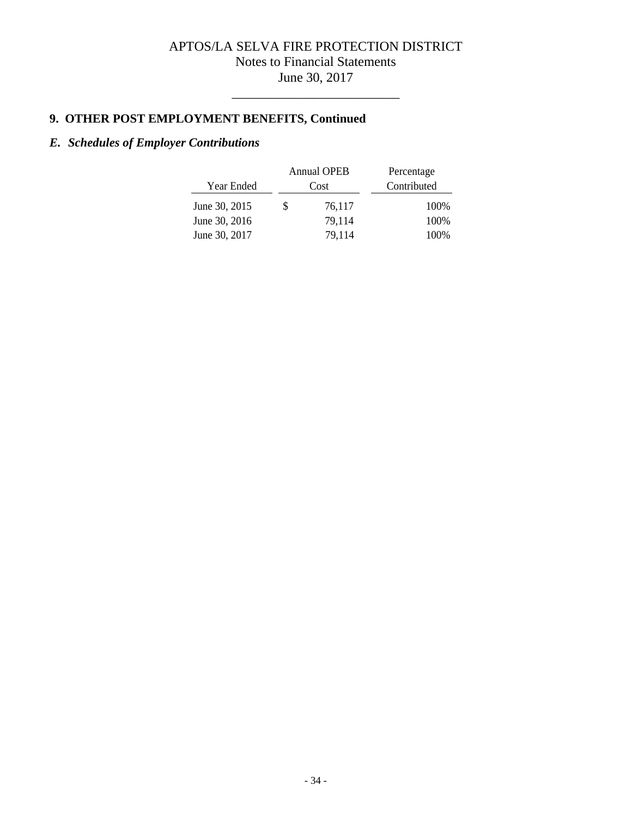\_\_\_\_\_\_\_\_\_\_\_\_\_\_\_\_\_\_\_\_\_\_\_\_\_

# **9. OTHER POST EMPLOYMENT BENEFITS, Continued**

# *E. Schedules of Employer Contributions*

|               |      | <b>Annual OPEB</b> | Percentage  |
|---------------|------|--------------------|-------------|
| Year Ended    | Cost |                    | Contributed |
| June 30, 2015 | S    | 76,117             | 100\%       |
| June 30, 2016 |      | 79.114             | 100%        |
| June 30, 2017 |      | 79.114             | 100%        |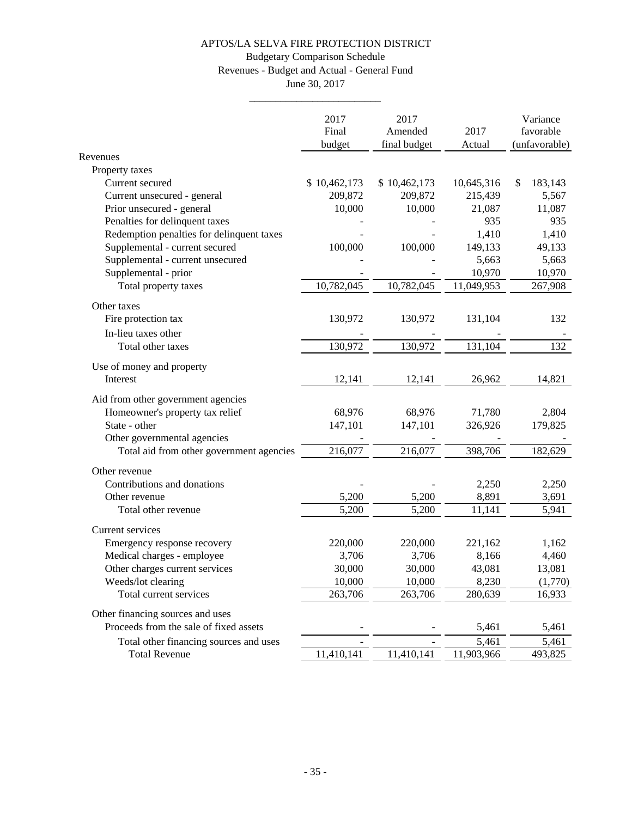## Budgetary Comparison Schedule

Revenues - Budget and Actual - General Fund

June 30, 2017 \_\_\_\_\_\_\_\_\_\_\_\_\_\_\_\_\_\_\_\_\_\_\_\_\_

|                                           | 2017<br>Final<br>budget | 2017<br>Amended<br>final budget | 2017<br>Actual  | Variance<br>favorable<br>(unfavorable) |
|-------------------------------------------|-------------------------|---------------------------------|-----------------|----------------------------------------|
| Revenues                                  |                         |                                 |                 |                                        |
| Property taxes                            |                         |                                 |                 |                                        |
| Current secured                           | \$10,462,173            | \$10,462,173                    | 10,645,316      | 183,143<br>\$                          |
| Current unsecured - general               | 209,872                 | 209,872                         | 215,439         | 5,567                                  |
| Prior unsecured - general                 | 10,000                  | 10,000                          | 21,087          | 11,087                                 |
| Penalties for delinquent taxes            |                         |                                 | 935             | 935                                    |
| Redemption penalties for delinquent taxes |                         |                                 | 1,410           | 1,410                                  |
| Supplemental - current secured            | 100,000                 | 100,000                         | 149,133         | 49,133                                 |
| Supplemental - current unsecured          |                         |                                 | 5,663           | 5,663                                  |
| Supplemental - prior                      |                         |                                 | 10,970          | 10,970                                 |
| Total property taxes                      | 10,782,045              | 10,782,045                      | 11,049,953      | 267,908                                |
| Other taxes<br>Fire protection tax        | 130,972                 | 130,972                         | 131,104         | 132                                    |
| In-lieu taxes other                       |                         |                                 |                 |                                        |
| Total other taxes                         | 130,972                 | 130,972                         | 131,104         | 132                                    |
| Use of money and property<br>Interest     | 12,141                  | 12,141                          | 26,962          | 14,821                                 |
| Aid from other government agencies        |                         |                                 |                 |                                        |
| Homeowner's property tax relief           | 68,976                  | 68,976                          | 71,780          | 2,804                                  |
| State - other                             | 147,101                 | 147,101                         | 326,926         | 179,825                                |
| Other governmental agencies               |                         |                                 |                 |                                        |
| Total aid from other government agencies  | 216,077                 | 216,077                         | 398,706         | 182,629                                |
|                                           |                         |                                 |                 |                                        |
| Other revenue                             |                         |                                 |                 |                                        |
| Contributions and donations               |                         |                                 | 2,250           | 2,250                                  |
| Other revenue<br>Total other revenue      | 5,200<br>5,200          | 5,200<br>5,200                  | 8,891<br>11,141 | 3,691<br>5,941                         |
|                                           |                         |                                 |                 |                                        |
| Current services                          |                         |                                 |                 |                                        |
| Emergency response recovery               | 220,000                 | 220,000                         | 221,162         | 1,162                                  |
| Medical charges - employee                | 3,706                   | 3,706                           | 8,166           | 4,460                                  |
| Other charges current services            | 30,000                  | 30,000                          | 43,081          | 13,081                                 |
| Weeds/lot clearing                        | 10,000                  | 10,000                          | 8,230           | (1,770)                                |
| Total current services                    | 263,706                 | 263,706                         | 280,639         | 16,933                                 |
| Other financing sources and uses          |                         |                                 |                 |                                        |
| Proceeds from the sale of fixed assets    |                         |                                 | 5,461           | 5,461                                  |
| Total other financing sources and uses    |                         |                                 | 5,461           | 5,461                                  |
| <b>Total Revenue</b>                      | 11,410,141              | 11,410,141                      | 11,903,966      | 493,825                                |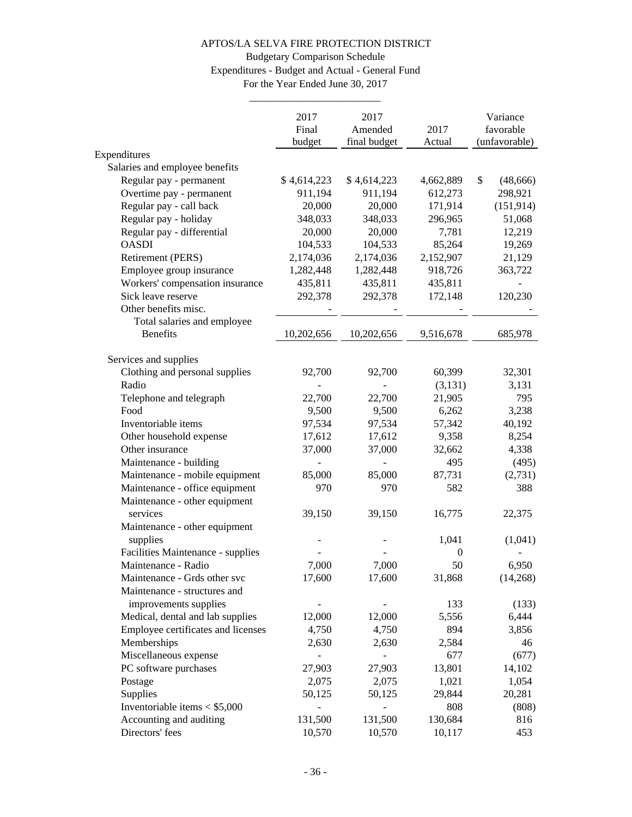# Budgetary Comparison Schedule Expenditures - Budget and Actual - General Fund

For the Year Ended June 30, 2017 \_\_\_\_\_\_\_\_\_\_\_\_\_\_\_\_\_\_\_\_\_\_\_\_\_

|                                                         | 2017        | 2017         |                        | Variance        |
|---------------------------------------------------------|-------------|--------------|------------------------|-----------------|
|                                                         | Final       | Amended      | 2017                   | favorable       |
|                                                         | budget      | final budget | Actual                 | (unfavorable)   |
| Expenditures                                            |             |              |                        |                 |
| Salaries and employee benefits                          |             |              |                        |                 |
| Regular pay - permanent                                 | \$4,614,223 | \$4,614,223  | 4,662,889              | \$<br>(48, 666) |
| Overtime pay - permanent                                | 911,194     | 911,194      | 612,273                | 298,921         |
| Regular pay - call back                                 | 20,000      | 20,000       | 171,914                | (151, 914)      |
| Regular pay - holiday                                   | 348,033     | 348,033      | 296,965                | 51,068          |
| Regular pay - differential                              | 20,000      | 20,000       | 7,781                  | 12,219          |
| <b>OASDI</b>                                            | 104,533     | 104,533      | 85,264                 | 19,269          |
| Retirement (PERS)                                       | 2,174,036   | 2,174,036    | 2,152,907              | 21,129          |
| Employee group insurance                                | 1,282,448   | 1,282,448    | 918,726                | 363,722         |
| Workers' compensation insurance                         | 435,811     | 435,811      | 435,811                |                 |
| Sick leave reserve                                      | 292,378     | 292,378      | 172,148                | 120,230         |
| Other benefits misc.                                    |             |              |                        |                 |
| Total salaries and employee                             |             |              |                        |                 |
| <b>Benefits</b>                                         | 10,202,656  | 10,202,656   | 9,516,678              | 685,978         |
|                                                         |             |              |                        |                 |
| Services and supplies<br>Clothing and personal supplies | 92,700      | 92,700       |                        | 32,301          |
| Radio                                                   |             |              | 60,399<br>(3,131)      | 3,131           |
|                                                         | 22,700      | 22,700       | 21,905                 | 795             |
| Telephone and telegraph<br>Food                         | 9,500       | 9,500        | 6,262                  | 3,238           |
| Inventoriable items                                     | 97,534      | 97,534       | 57,342                 | 40,192          |
|                                                         |             | 17,612       | 9,358                  |                 |
| Other household expense<br>Other insurance              | 17,612      |              |                        | 8,254           |
|                                                         | 37,000      | 37,000       | 32,662                 | 4,338           |
| Maintenance - building                                  |             | 85,000       | 495                    | (495)           |
| Maintenance - mobile equipment                          | 85,000      |              | 87,731                 | (2,731)         |
| Maintenance - office equipment                          | 970         | 970          | 582                    | 388             |
| Maintenance - other equipment<br>services               |             |              |                        |                 |
|                                                         | 39,150      | 39,150       | 16,775                 | 22,375          |
| Maintenance - other equipment                           |             |              |                        |                 |
| supplies                                                |             |              | 1,041                  | (1,041)         |
| Facilities Maintenance - supplies                       |             |              | $\boldsymbol{0}$<br>50 |                 |
| Maintenance - Radio                                     | 7,000       | 7,000        |                        | 6,950           |
| Maintenance - Grds other svc                            | 17,600      | 17,600       | 31,868                 | (14,268)        |
| Maintenance - structures and                            |             |              |                        |                 |
| improvements supplies                                   |             |              | 133                    | (133)           |
| Medical, dental and lab supplies                        | 12,000      | 12,000       | 5,556                  | 6,444           |
| Employee certificates and licenses                      | 4,750       | 4,750        | 894                    | 3,856           |
| Memberships                                             | 2,630       | 2,630        | 2,584                  | 46              |
| Miscellaneous expense                                   |             |              | 677                    | (677)           |
| PC software purchases                                   | 27,903      | 27,903       | 13,801                 | 14,102          |
| Postage                                                 | 2,075       | 2,075        | 1,021                  | 1,054           |
| Supplies                                                | 50,125      | 50,125       | 29,844                 | 20,281          |
| Inventoriable items $<$ \$5,000                         |             |              | 808                    | (808)           |
| Accounting and auditing                                 | 131,500     | 131,500      | 130,684                | 816             |
| Directors' fees                                         | 10,570      | 10,570       | 10,117                 | 453             |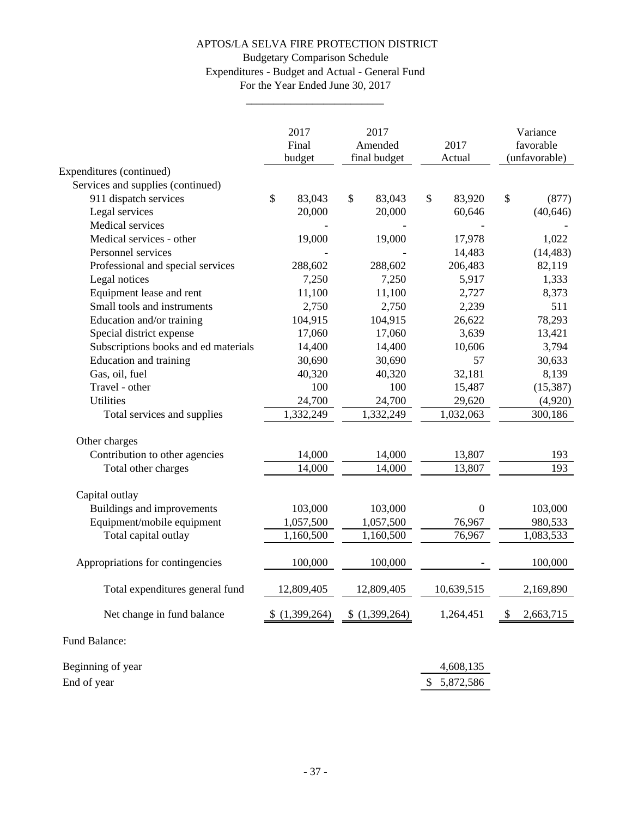### Budgetary Comparison Schedule Expenditures - Budget and Actual - General Fund For the Year Ended June 30, 2017

\_\_\_\_\_\_\_\_\_\_\_\_\_\_\_\_\_\_\_\_\_\_\_\_\_

|                                      | 2017<br>Final<br>budget |       | 2017<br>Amended<br>final budget |              | 2017<br>Actual |               | Variance<br>favorable<br>(unfavorable) |
|--------------------------------------|-------------------------|-------|---------------------------------|--------------|----------------|---------------|----------------------------------------|
| Expenditures (continued)             |                         |       |                                 |              |                |               |                                        |
| Services and supplies (continued)    |                         |       |                                 |              |                |               |                                        |
| 911 dispatch services                | \$<br>83,043            |       | \$<br>83,043                    | $\mathbb{S}$ | 83,920         | \$            | (877)                                  |
| Legal services                       | 20,000                  |       | 20,000                          |              | 60,646         |               | (40, 646)                              |
| Medical services                     |                         |       |                                 |              |                |               |                                        |
| Medical services - other             | 19,000                  |       | 19,000                          |              | 17,978         |               | 1,022                                  |
| Personnel services                   |                         |       |                                 |              | 14,483         |               | (14, 483)                              |
| Professional and special services    | 288,602                 |       | 288,602                         |              | 206,483        |               | 82,119                                 |
| Legal notices                        |                         | 7,250 | 7,250                           |              | 5,917          |               | 1,333                                  |
| Equipment lease and rent             | 11,100                  |       | 11,100                          |              | 2,727          |               | 8,373                                  |
| Small tools and instruments          |                         | 2,750 | 2,750                           |              | 2,239          |               | 511                                    |
| Education and/or training            | 104,915                 |       | 104,915                         |              | 26,622         |               | 78,293                                 |
| Special district expense             | 17,060                  |       | 17,060                          |              | 3,639          |               | 13,421                                 |
| Subscriptions books and ed materials | 14,400                  |       | 14,400                          |              | 10,606         |               | 3,794                                  |
| Education and training               | 30,690                  |       | 30,690                          |              | 57             |               | 30,633                                 |
| Gas, oil, fuel                       | 40,320                  |       | 40,320                          |              | 32,181         |               | 8,139                                  |
| Travel - other                       |                         | 100   | 100                             |              | 15,487         |               | (15, 387)                              |
| Utilities                            | 24,700                  |       | 24,700                          |              | 29,620         |               | (4,920)                                |
| Total services and supplies          | 1,332,249               |       | 1,332,249                       |              | 1,032,063      |               | 300,186                                |
| Other charges                        |                         |       |                                 |              |                |               |                                        |
| Contribution to other agencies       | 14,000                  |       | 14,000                          |              | 13,807         |               | 193                                    |
| Total other charges                  | 14,000                  |       | 14,000                          |              | 13,807         |               | 193                                    |
| Capital outlay                       |                         |       |                                 |              |                |               |                                        |
| Buildings and improvements           | 103,000                 |       | 103,000                         |              | $\overline{0}$ |               | 103,000                                |
| Equipment/mobile equipment           | 1,057,500               |       | 1,057,500                       |              | 76,967         |               | 980,533                                |
| Total capital outlay                 | 1,160,500               |       | 1,160,500                       |              | 76,967         |               | 1,083,533                              |
| Appropriations for contingencies     | 100,000                 |       | 100,000                         |              |                |               | 100,000                                |
| Total expenditures general fund      | 12,809,405              |       | 12,809,405                      |              | 10,639,515     |               | 2,169,890                              |
| Net change in fund balance           | (1,399,264)             |       | (1,399,264)                     |              | 1,264,451      | $\mathcal{S}$ | 2,663,715                              |
| Fund Balance:                        |                         |       |                                 |              |                |               |                                        |
| Beginning of year                    |                         |       |                                 |              | 4,608,135      |               |                                        |
| End of year                          |                         |       |                                 |              | \$5,872,586    |               |                                        |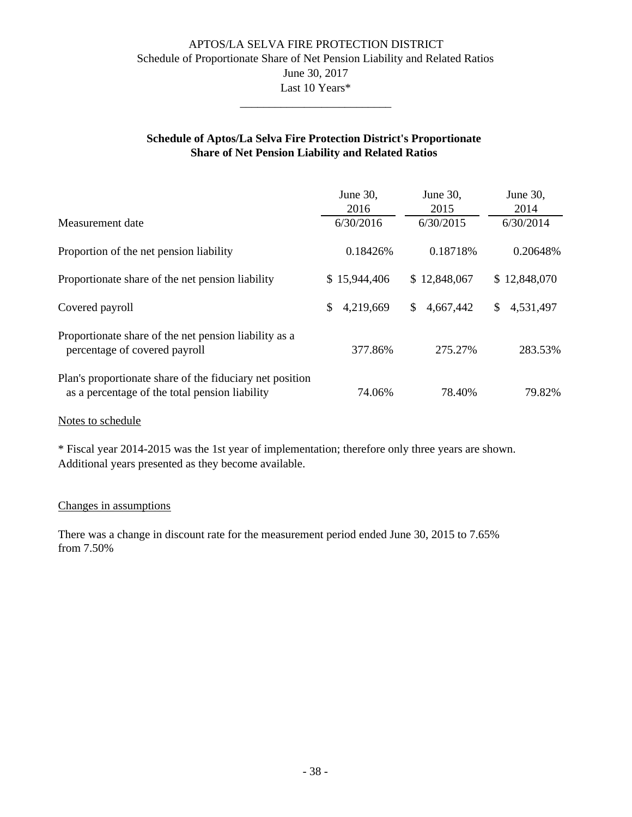### APTOS/LA SELVA FIRE PROTECTION DISTRICT Schedule of Proportionate Share of Net Pension Liability and Related Ratios June 30, 2017 Last 10 Years\* \_\_\_\_\_\_\_\_\_\_\_\_\_\_\_\_\_\_\_\_\_\_\_\_\_\_

### **Schedule of Aptos/La Selva Fire Protection District's Proportionate Share of Net Pension Liability and Related Ratios**

|                                                                                                            | June 30,<br>2016 | June 30,<br>2015 | June 30,<br>2014 |
|------------------------------------------------------------------------------------------------------------|------------------|------------------|------------------|
| Measurement date                                                                                           | 6/30/2016        | 6/30/2015        | 6/30/2014        |
| Proportion of the net pension liability                                                                    | 0.18426\%        | 0.18718%         | 0.20648%         |
| Proportionate share of the net pension liability                                                           | \$15,944,406     | \$12,848,067     | \$12,848,070     |
| Covered payroll                                                                                            | \$<br>4,219,669  | \$.<br>4,667,442 | 4,531,497<br>\$. |
| Proportionate share of the net pension liability as a<br>percentage of covered payroll                     | 377.86%          | 275.27%          | 283.53%          |
| Plan's proportionate share of the fiduciary net position<br>as a percentage of the total pension liability | 74.06%           | 78.40%           | 79.82%           |

#### Notes to schedule

\* Fiscal year 2014-2015 was the 1st year of implementation; therefore only three years are shown. Additional years presented as they become available.

#### Changes in assumptions

from 7.50% There was a change in discount rate for the measurement period ended June 30, 2015 to 7.65%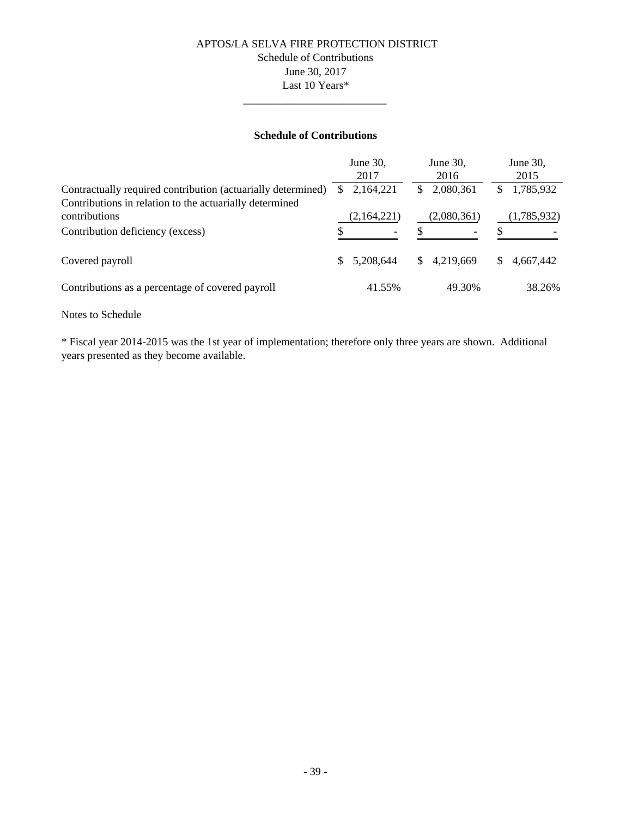### APTOS/LA SELVA FIRE PROTECTION DISTRICT Schedule of Contributions June 30, 2017 Last 10 Years\*

### **Schedule of Contributions**

\_\_\_\_\_\_\_\_\_\_\_\_\_\_\_\_\_\_\_\_\_\_\_\_\_\_

|                                                                                                                         | June 30,<br>2017 | June 30,<br>2016 | June 30,<br>2015 |
|-------------------------------------------------------------------------------------------------------------------------|------------------|------------------|------------------|
| Contractually required contribution (actuarially determined)<br>Contributions in relation to the actuarially determined | 2,164,221        | 2,080,361        | 1,785,932        |
| contributions                                                                                                           | (2,164,221)      | (2,080,361)      | (1,785,932)      |
| Contribution deficiency (excess)                                                                                        |                  |                  |                  |
| Covered payroll                                                                                                         | 5,208,644<br>\$. | 4,219,669<br>S.  | 4,667,442<br>S.  |
| Contributions as a percentage of covered payroll                                                                        | 41.55%           | 49.30%           | 38.26%           |

#### Notes to Schedule

\* Fiscal year 2014-2015 was the 1st year of implementation; therefore only three years are shown. Additional years presented as they become available.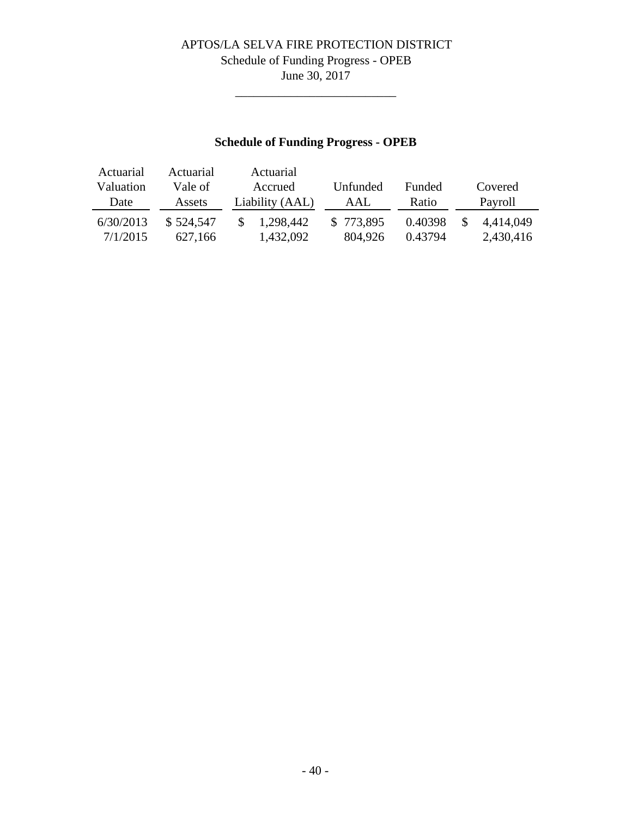# APTOS/LA SELVA FIRE PROTECTION DISTRICT Schedule of Funding Progress - OPEB June 30, 2017

\_\_\_\_\_\_\_\_\_\_\_\_\_\_\_\_\_\_\_\_\_\_\_\_\_\_

# **Schedule of Funding Progress - OPEB**

| Actuarial | Actuarial | Actuarial       |           |               |           |
|-----------|-----------|-----------------|-----------|---------------|-----------|
| Valuation | Vale of I | Accrued         | Unfunded  | <b>Funded</b> | Covered   |
| Date      | Assets    | Liability (AAL) | AAL       | Ratio         | Payroll   |
| 6/30/2013 | \$524,547 | 1,298,442       | \$773,895 | 0.40398       | 4.414.049 |
| 7/1/2015  | 627.166   | 1,432,092       | 804.926   | 0.43794       | 2,430,416 |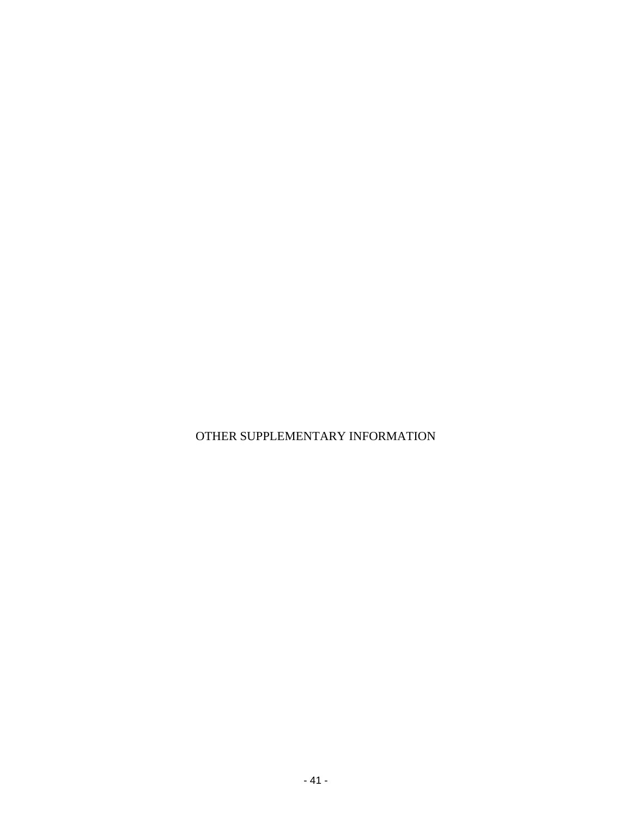OTHER SUPPLEMENTARY INFORMATION